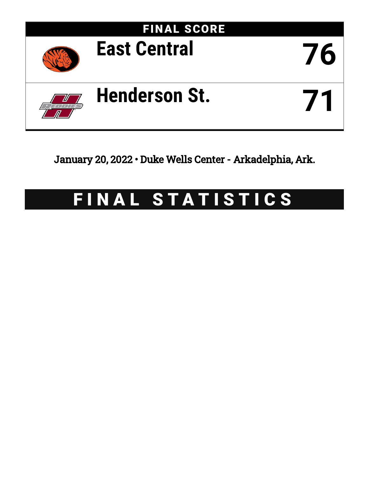

January 20, 2022 • Duke Wells Center - Arkadelphia, Ark.

# FINAL STATISTICS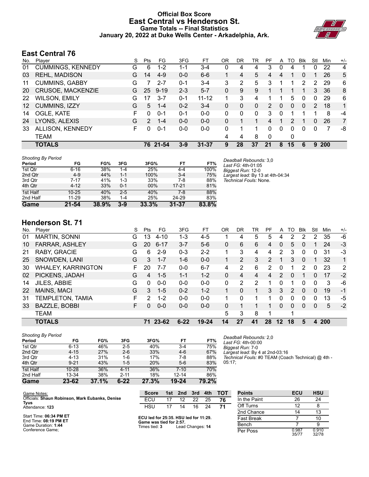### **Official Box Score East Central vs Henderson St. Game Totals -- Final Statistics January 20, 2022 at Duke Wells Center - Arkadelphia, Ark.**



### **East Central 76**

| No.               | Plaver                   | S  | <b>Pts</b>    | FG       | 3FG     | FT        | OR | DR       | TR | PF             | A        | TO | <b>Blk</b> | Stl           | Min        | $+/-$          |
|-------------------|--------------------------|----|---------------|----------|---------|-----------|----|----------|----|----------------|----------|----|------------|---------------|------------|----------------|
| 01                | <b>CUMMINGS, KENNEDY</b> | G  | 6             | $1 - 2$  | 1-1     | $3 - 4$   | 0  | 4        | 4  | 3              | 0        | 4  |            | 0             | 22         | 4              |
| 03                | <b>REHL, MADISON</b>     | G  | 14            | $4-9$    | $0 - 0$ | $6 - 6$   |    | 4        | 5  | 4              | 4        |    | 0          |               | 26         | 5              |
| 11                | <b>CUMMINS, GABBY</b>    | G  | 7             | $2 - 7$  | $0 - 1$ | $3 - 4$   | 3  | 2        | 5  | 3              |          |    | 2          | 2             | 29         | 6              |
| 20                | CRUSOE, MACKENZIE        | G  | 25            | $9 - 19$ | $2 - 3$ | $5 - 7$   | 0  | 9        | 9  |                |          |    |            | 3             | 36         | 8              |
| 22                | <b>WILSON, EMILY</b>     | G  | 17            | $3 - 7$  | $0 - 1$ | $11 - 12$ |    | 3        | 4  | 1              | 1        | 5  | 0          | $\Omega$      | 29         | 6              |
| $12 \overline{ }$ | CUMMINS, IZZY            | G  | 5             | $1 - 4$  | $0 - 2$ | $3 - 4$   | 0  | $\Omega$ | 0  | $\overline{2}$ | $\Omega$ | 0  | $\Omega$   | $\mathcal{P}$ | 18         | 1              |
| 14                | OGLE, KATE               | F  | 0             | $0 - 1$  | $0 - 1$ | $0 - 0$   | 0  | 0        | 0  | 3              | 0        |    |            |               | 8          | -4             |
| 24                | LYONS, ALEXIS            | G  | $\mathcal{P}$ | $1 - 4$  | $0 - 0$ | $0 - 0$   | 0  |          |    | 4              |          | 2  |            | 0             | 26         | $\overline{7}$ |
| 33                | ALLISON, KENNEDY         | F. | 0             | $0 - 1$  | $0-0$   | $0 - 0$   | 0  |          |    | $\Omega$       | $\Omega$ | 0  | 0          | 0             | 7          | -8             |
|                   | TEAM                     |    |               |          |         |           | 4  | 4        | 8  | $\Omega$       |          | 0  |            |               |            |                |
|                   | <b>TOTALS</b>            |    |               | 76 21-54 | $3-9$   | $31 - 37$ | 9  | 28       | 37 | 21             | 8        | 15 | 6          | 9             | <b>200</b> |                |

| <b>Shooting By Period</b> |           |          |         |                     |           |       | Deadball Rebounds: 3,0           |
|---------------------------|-----------|----------|---------|---------------------|-----------|-------|----------------------------------|
| Period                    | FG        | FG%      | 3FG     | 3FG%                | FT        | FT%   | Last FG: 4th-01:05               |
| 1st Qtr                   | $6 - 16$  | 38%      | 1-4     | 25%                 | $4 - 4$   | 100%  | Biggest Run: 12-0                |
| 2nd Qtr                   | $4-9$     | 44%      | $1 - 1$ | 100%                | $3 - 4$   | 75%   | Largest lead: By 13 at 4th-04:34 |
| 3rd Qtr                   | $7 - 17$  | 41%      | 1-3     | 33%                 | 7-8       | 88%   | Technical Fouls: None.           |
| 4th Qtr                   | $4 - 12$  | 33%      | $0 - 1$ | 00%                 | $17 - 21$ | 81%   |                                  |
| 1st Half                  | $10 - 25$ | 40%      | $2 - 5$ | 40%                 | $7-8$     | 88%   |                                  |
| 2nd Half                  | $11 - 29$ | 38%      | $1 - 4$ | 25%                 | 24-29     | 83%   |                                  |
| Game                      | $21 - 54$ | $38.9\%$ | $3-9$   | $33.\overline{3\%}$ | $31 - 37$ | 83.8% |                                  |

### **Henderson St. 71**

| No. | Plaver                    | S | Pts | FG       | 3FG      | FТ      | ΟR | DR             | TR | РF             | A  | TO            | <b>B</b> lk  | Stl      | Min | $+/-$ |
|-----|---------------------------|---|-----|----------|----------|---------|----|----------------|----|----------------|----|---------------|--------------|----------|-----|-------|
| 01  | <b>MARTIN, SONNI</b>      | G | 13  | $4 - 10$ | 1-3      | $4 - 5$ |    | 4              | 5. | 5              | 4  | 2             | 2            | 2        | 35  | -6    |
| 10  | <b>FARRAR, ASHLEY</b>     | G | 20  | $6 - 17$ | $3 - 7$  | $5-6$   | 0  | 6              | 6  | 4              | 0  | 5             | $\Omega$     |          | 24  | $-3$  |
| 21  | RABY, GRACIE              | G | 6   | $2 - 9$  | $0 - 3$  | $2 - 2$ |    | 3              | 4  | 4              | 2  | 3             | 0            | 0        | 31  | -3    |
| 25  | SNOWDEN, LANI             | G | 3   | $1 - 7$  | $1 - 6$  | $0 - 0$ |    | 2              | 3  | $\overline{2}$ |    | 3             | $\mathbf{0}$ |          | 32  | 1     |
| 30  | <b>WHALEY, KARRINGTON</b> | F | 20  | 7-7      | $0 - 0$  | $6 - 7$ | 4  | 2              | 6  | 2              | 0  |               | 2            | 0        | 23  | 2     |
| 02  | PICKENS, JADAH            | G | 4   | $1 - 5$  | $1 - 1$  | $1 - 2$ | 0  | $\overline{4}$ | 4  | 4              | 2  | $\Omega$      |              | 0        | 17  | $-2$  |
| 14  | JILES, ABBIE              | G | 0   | $0 - 0$  | $0 - 0$  | $0 - 0$ | 0  | 2              | 2  | 1              | 0  | 1             | 0            | 0        | 3   | -6    |
| 22  | MAINS, MACI               | G | 3   | $1 - 5$  | $0 - 2$  | $1 - 2$ |    | $\Omega$       | 1  | 3              | 3  | $\mathcal{P}$ | $\Omega$     | 0        | 19  | $-1$  |
| 31  | TEMPLETON, TAMIA          | F | 2   | $1 - 2$  | $0 - 0$  | $0 - 0$ |    | 0              |    | 1              | 0  | 0             | $\Omega$     | 0        | 13  | $-5$  |
| 33  | BAZZLE, BOBBI             | F | 0   | $0 - 0$  | $0 - 0$  | $0 - 0$ | 0  |                |    |                | 0  | 0             | $\Omega$     | $\Omega$ | 5   | $-2$  |
|     | <b>TEAM</b>               |   |     |          |          |         | 5  | 3              | 8  | 1              |    | 1             |              |          |     |       |
|     | <b>TOTALS</b>             |   | 71  | 23-62    | $6 - 22$ | 19-24   | 14 | 27             | 41 | 28             | 12 | 18            | 5            | 4        | 200 |       |

|                                     | $23 - 62$ | 37.1% | $6 - 22$ | 27.3% | 19-24     | 79.2% |                                              |
|-------------------------------------|-----------|-------|----------|-------|-----------|-------|----------------------------------------------|
| 2nd Half                            | 13-34     | 38%   | $2 - 11$ | 18%   | $12 - 14$ | 86%   |                                              |
| 1st Half                            | $10 - 28$ | 36%   | $4 - 11$ | 36%   | $7 - 10$  | 70%   |                                              |
| 4th Qtr                             | $9 - 21$  | 43%   | $1-5$    | 20%   | $5-6$     | 83%   | 05:17:                                       |
| 3rd Qtr                             | $4 - 13$  | 31%   | 1-6      | 17%   | 7-8       | 88%   | Technical Fouls: #0 TEA                      |
| 2nd Qtr                             | $4 - 15$  | 27%   | $2 - 6$  | 33%   | $4-6$     | 67%   | Largest lead: By 4 at 2nd                    |
| 1st Qtr                             | $6 - 13$  | 46%   | $2 - 5$  | 40%   | $3 - 4$   | 75%   | Biggest Run: 7-0                             |
| <b>Shooting By Period</b><br>Period | FG        | FG%   | 3FG      | 3FG%  | FT        | FT%   | Deadball Rebounds: 2.0<br>Last FG: 4th-00:00 |

*Last FG:* 4th-00:00 *Biggest Run:* 7-0 *Largest lead:* By 4 at 2nd-03:16 *Technical Fouls:* #0 TEAM (Coach Technical) @ 4th - 05:17;

| Game Notes:                                      | <b>Score</b>                                    |    | 1st 2nd          | 3rd | 4th | <b>TOT</b> | <b>Points</b>     | ECU            | <b>HSU</b>     |
|--------------------------------------------------|-------------------------------------------------|----|------------------|-----|-----|------------|-------------------|----------------|----------------|
| Officials: Shaun Robinson, Mark Eubanks, Denise  | ECU                                             |    | 12               | 22  | 25  | 76         | In the Paint      | 26             | 24             |
| Tyus<br>Attendance: 123                          | HSU                                             | 17 |                  | 16  | 24  | 71         | Off Turns         |                |                |
|                                                  |                                                 |    |                  |     |     |            | 2nd Chance        | 14             | 13             |
| Start Time: 06:34 PM ET<br>End Time: 08:19 PM ET | ECU led for 25:35. HSU led for 11:29.           |    |                  |     |     |            | <b>Fast Break</b> |                | 10             |
| Game Duration: 1:44                              | Game was tied for 2:57.<br>Times tied: <b>3</b> |    | Lead Changes: 14 |     |     |            | Bench             |                |                |
| Conference Game:                                 |                                                 |    |                  |     |     |            | Per Poss          | 0.987<br>35/77 | 0.910<br>32/78 |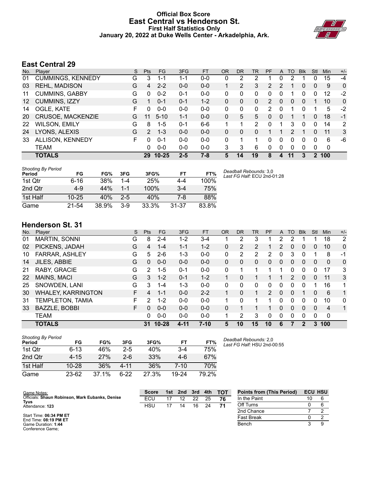#### **Official Box Score East Central vs Henderson St. First Half Statistics Only January 20, 2022 at Duke Wells Center - Arkadelphia, Ark.**



### **East Central 29**

| No. | Player                   | S  | <b>Pts</b>    | <b>FG</b> | 3FG     | <b>FT</b> | <b>OR</b> | <b>DR</b> | TR | PF             | A | TO            | <b>B</b> lk | Stl      | Min         | $+/-$        |
|-----|--------------------------|----|---------------|-----------|---------|-----------|-----------|-----------|----|----------------|---|---------------|-------------|----------|-------------|--------------|
| 01  | <b>CUMMINGS, KENNEDY</b> | G  | 3             | 1-1       | 1-1     | $0-0$     | 0         | 2         | っ  |                | 0 | 2             |             | 0        | 15          | $-4$         |
| 03  | <b>REHL, MADISON</b>     | G  | 4             | $2 - 2$   | $0 - 0$ | $0-0$     |           | 2         | 3  | $\overline{2}$ | 2 | 1             | 0           | 0        | 9           | 0            |
| 11  | <b>CUMMINS, GABBY</b>    | G  | 0             | $0 - 2$   | 0-1     | $0-0$     | 0         | 0         | 0  | 0              | 0 |               |             | 0        | 12          | $-2$         |
| 12  | CUMMINS, IZZY            | G  |               | $0 - 1$   | $0 - 1$ | $1 - 2$   | 0         | 0         | 0  | 2              | 0 | 0             | 0           |          | 10          | $\mathbf{0}$ |
| 14  | OGLE, KATE               | F. | 0             | $0 - 0$   | $0 - 0$ | $0 - 0$   | 0         | 0         | 0  | $\overline{2}$ | 0 |               |             |          | 5           | $-2$         |
| 20  | CRUSOE, MACKENZIE        | G  | 11            | $5 - 10$  | $1 - 1$ | $0 - 0$   | 0         | 5         | 5  | 0              | 0 |               |             | 0        | 18          | -1           |
| 22  | <b>WILSON, EMILY</b>     | G  | 8             | $1 - 5$   | $0 - 1$ | $6 - 6$   |           |           | 2  | 0              |   | 3             | $\Omega$    | $\Omega$ | 14          | 2            |
| 24  | LYONS, ALEXIS            | G  | $\mathcal{P}$ | $1 - 3$   | $0 - 0$ | $0 - 0$   | 0         | $\Omega$  | 0  |                |   | $\mathcal{P}$ |             | 0        | 11          | 3            |
| 33  | ALLISON, KENNEDY         | F. | 0             | $0 - 1$   | $0 - 0$ | $0 - 0$   | 0         | 1         |    | 0              | 0 | 0             | $\Omega$    | 0        | 6           | -6           |
|     | <b>TEAM</b>              |    | 0             | $0 - 0$   | $0 - 0$ | $0 - 0$   | 3         | 3         | 6  | 0              | 0 | 0             | $\Omega$    | 0        | $\mathbf 0$ |              |
|     | <b>TOTALS</b>            |    | 29            | $10 - 25$ | $2 - 5$ | 7-8       | 5         | 14        | 19 | 8              | 4 | 11            | 3           | 2        | 100         |              |

| <b>Shooting By Period</b><br>Period | FG        | FG%   | 3FG     | 3FG%  | FT        | FT%   | Deadball Rebounds: 3,0<br>Last FG Half: ECU 2nd-01:28 |
|-------------------------------------|-----------|-------|---------|-------|-----------|-------|-------------------------------------------------------|
| 1st Otr                             | 6-16      | 38%   | 1-4     | 25%   | 4-4       | 100%  |                                                       |
| 2nd Qtr                             | $4-9$     | 44%   | 1-1     | 100%  | $3-4$     | 75%   |                                                       |
| 1st Half                            | $10 - 25$ | 40%   | $2 - 5$ | 40%   | 7-8       | 88%   |                                                       |
| Game                                | 21-54     | 38.9% | $3-9$   | 33.3% | $31 - 37$ | 83.8% |                                                       |

### **Henderson St. 31**

| No. | Plaver                    | S | <b>Pts</b> | <b>FG</b> | 3FG      | <b>FT</b> | <b>OR</b> | DR       | TR       | PF             | A        | <b>TO</b> | <b>Blk</b>     | Stl      | Min            | $+/-$       |
|-----|---------------------------|---|------------|-----------|----------|-----------|-----------|----------|----------|----------------|----------|-----------|----------------|----------|----------------|-------------|
| 01  | <b>MARTIN, SONNI</b>      | G | 8          | $2 - 4$   | $1 - 2$  | $3-4$     |           | 2        | 3        |                | 2        | 2         |                |          | 18             | 2           |
| 02  | PICKENS, JADAH            | G | 4          | $1 - 4$   | 1-1      | $1 - 2$   | 0         | 2        | 2        |                | 2        | 0         | $\overline{0}$ | 0        | 10             | $\Omega$    |
| 10  | <b>FARRAR, ASHLEY</b>     | G | 5          | $2-6$     | 1-3      | $0 - 0$   | 0         | 2        | 2        | $\overline{2}$ | 0        | 3         | 0              |          | 8              | -1          |
| 14  | JILES, ABBIE              | G | 0          | $0 - 0$   | $0 - 0$  | $0 - 0$   | 0         | 0        | 0        | 0              | 0        | 0         | $\overline{0}$ | 0        | 0              | $\mathbf 0$ |
| 21  | RABY, GRACIE              | G | 2          | $1 - 5$   | $0 - 1$  | $0 - 0$   | 0         |          |          |                | 1        | 0         | 0              | 0        | 17             | 3           |
| 22  | MAINS, MACI               | G | 3          | $1 - 2$   | $0 - 1$  | $1 - 2$   |           | $\Omega$ |          |                | 1        | 2         | $\Omega$       | 0        | 11             | 3           |
| 25  | SNOWDEN, LANI             | G | 3          | $1 - 4$   | $1 - 3$  | $0 - 0$   | 0         | $\Omega$ | $\Omega$ | $\Omega$       | 0        | 0         | $\Omega$       |          | 16             | 1           |
| 30  | <b>WHALEY, KARRINGTON</b> | F | 4          | $1 - 1$   | $0 - 0$  | $2 - 2$   |           | $\Omega$ |          | $\overline{2}$ | $\Omega$ | 0         |                | 0        | 6              | 1           |
| 31  | <b>FEMPLETON, TAMIA</b>   | F | 2          | $1 - 2$   | $0 - 0$  | $0 - 0$   |           | 0        |          |                | 0        | 0         | 0              | 0        | 10             | 0           |
| 33  | BAZZLE, BOBBI             | F | 0          | $0 - 0$   | $0 - 0$  | $0 - 0$   | 0         |          |          |                | 0        | 0         | $\Omega$       | $\Omega$ | $\overline{4}$ | 1           |
|     | <b>TEAM</b>               |   | 0          | $0 - 0$   | $0 - 0$  | $0 - 0$   |           | 2        | 3        | 0              | 0        | 0         | 0              | 0        | 0              |             |
|     | <b>TOTALS</b>             |   | 31         | $10 - 28$ | $4 - 11$ | $7 - 10$  | 5         | 10       | 15       | 10             | 6        |           | 2              | 3        | 100            |             |

| <b>Shooting By Period</b><br>Period | FG        | FG%   | 3FG     | 3FG%  | <b>FT</b> | FT%   |
|-------------------------------------|-----------|-------|---------|-------|-----------|-------|
| 1st Otr                             | $6 - 13$  | 46%   | $2 - 5$ | 40%   | $3-4$     | 75%   |
| 2nd Otr                             | $4 - 15$  | 27%   | 2-6     | 33%   | $4-6$     | 67%   |
| 1st Half                            | $10 - 28$ | 36%   | 4-11    | 36%   | $7 - 10$  | 70%   |
| Game                                | 23-62     | 37.1% | հ-22    | 27.3% | 19-24     | 79.2% |

*Deadball Rebounds:* 2,0 *Last FG Half:* HSU 2nd-00:55

| Game Notes:                                                    | <b>Score</b> | 1st | 2 <sub>nd</sub> | 3rd | 4th | <b>TOT</b> | <b>Points from (This Period)</b> | <b>ECU HSU</b> |  |
|----------------------------------------------------------------|--------------|-----|-----------------|-----|-----|------------|----------------------------------|----------------|--|
| Officials: Shaun Robinson, Mark Eubanks, Denise<br><b>Tyus</b> | ECU          |     | 12              | 22  | 25  | 76         | In the Paint                     |                |  |
| Attendance: 123                                                | HSU          |     | 14              | 16  | 24  | 71         | Off Turns                        |                |  |
|                                                                |              |     |                 |     |     |            | 2nd Chance                       |                |  |
| Start Time: 06:34 PM ET<br>End Time: 08:19 PM ET               |              |     |                 |     |     |            | Fast Break                       |                |  |
| Game Duration: 1:44                                            |              |     |                 |     |     |            | Bench                            |                |  |

Game Duration: **1:44** Conference Game;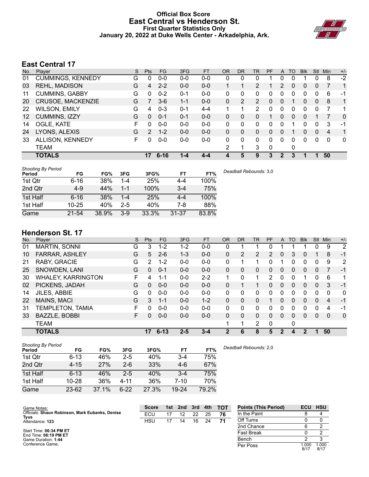### **Official Box Score East Central vs Henderson St. First Quarter Statistics Only January 20, 2022 at Duke Wells Center - Arkadelphia, Ark.**



### **East Central 17**

| No.               | Player                   | S | <b>Pts</b> | FG       | 3FG     | <b>FT</b> | <b>OR</b> | DR            | TR | <b>PF</b>    | A        | TO       | <b>B</b> lk  | Stl          | Min      | $+/-$        |
|-------------------|--------------------------|---|------------|----------|---------|-----------|-----------|---------------|----|--------------|----------|----------|--------------|--------------|----------|--------------|
| 01                | <b>CUMMINGS, KENNEDY</b> | G | 0          | $0 - 0$  | $0 - 0$ | $0-0$     | 0         | 0             | 0  |              | 0        | 0        |              | 0            | 8        | $-2$         |
| 03                | <b>REHL, MADISON</b>     | G | 4          | $2 - 2$  | $0 - 0$ | $0 - 0$   |           |               | 2  |              | 2        | $\Omega$ | $\mathbf{0}$ | $\mathbf{0}$ | 7        | 1            |
| 11                | <b>CUMMINS, GABBY</b>    | G | 0          | $0 - 2$  | $0 - 1$ | $0-0$     | $\Omega$  | 0             | 0  | $\Omega$     | 0        | 0        | $\Omega$     | 0            | 6        | -1           |
| 20                | CRUSOE, MACKENZIE        | G |            | $3-6$    | $1 - 1$ | $0 - 0$   | $\Omega$  | $\mathcal{P}$ | 2  | $\Omega$     | $\Omega$ |          | $\Omega$     | $\mathbf{0}$ | 8        | 1            |
| 22                | <b>WILSON, EMILY</b>     | G | 4          | $0 - 3$  | $0 - 1$ | $4 - 4$   | 1         |               | 2  | $\Omega$     | 0        | 0        | $\Omega$     | 0            | 7        | 1            |
| $12 \overline{ }$ | CUMMINS, IZZY            | G | 0          | $0 - 1$  | $0 - 1$ | $0 - 0$   | 0         | 0             | 0  |              | 0        | 0        | 0            |              |          | $\mathbf{0}$ |
| 14                | OGLE, KATE               | F | 0          | $0 - 0$  | $0 - 0$ | $0-0$     | $\Omega$  | 0             | 0  | 0            | 0        |          | 0            | 0            | 3        | -1           |
| 24                | LYONS, ALEXIS            | G | 2          | $1 - 2$  | $0 - 0$ | $0 - 0$   | $\Omega$  | $\Omega$      | 0  | $\Omega$     | $\Omega$ |          | 0            | $\Omega$     | 4        | 1            |
| 33                | ALLISON, KENNEDY         | F | 0          | $0 - 0$  | $0-0$   | $0 - 0$   | $\Omega$  | 0             | 0  | $\Omega$     | $\Omega$ | 0        | $\Omega$     | $\Omega$     | $\Omega$ | $\mathbf{0}$ |
|                   | <b>TEAM</b>              |   |            |          |         |           | 2         | 1             | 3  | $\mathbf{0}$ |          | 0        |              |              |          |              |
|                   | <b>TOTALS</b>            |   | 17         | $6 - 16$ | $1 - 4$ | $4 - 4$   | Δ         | 5             | 9  | 3            | 2        | 3        |              | 1            | 50       |              |

| <b>Shooting By Period</b><br>Period | FG        | FG%   | 3FG     | 3FG%  | <b>FT</b> | FT%   | Deadball Rebounds: 3,0 |
|-------------------------------------|-----------|-------|---------|-------|-----------|-------|------------------------|
| 1st Qtr                             | $6 - 16$  | 38%   | $1 - 4$ | 25%   | 4-4       | 100%  |                        |
| 2nd Qtr                             | $4-9$     | 44%   | $1 - 1$ | 100%  | $3 - 4$   | 75%   |                        |
| 1st Half                            | $6 - 16$  | 38%   | $1 - 4$ | 25%   | 4-4       | 100%  |                        |
| 1st Half                            | $10 - 25$ | 40%   | $2 - 5$ | 40%   | 7-8       | 88%   |                        |
| Game                                | $21 - 54$ | 38.9% | $3-9$   | 33.3% | 31-37     | 83.8% |                        |

### **Henderson St. 17**

| No. | Plaver                    | S  | Pts | <b>FG</b> | 3FG     | <b>FT</b> | 0R           | DR | <b>TR</b> | PF | A            | TO           | <b>Blk</b> | Stl      | Min      | $+/-$       |
|-----|---------------------------|----|-----|-----------|---------|-----------|--------------|----|-----------|----|--------------|--------------|------------|----------|----------|-------------|
| 01  | MARTIN, SONNI             | G  | 3   | $1 - 2$   | $1 - 2$ | $0 - 0$   | 0            |    |           | 0  |              |              |            | 0        | -9       | 2           |
| 10  | <b>FARRAR, ASHLEY</b>     | G  | 5   | $2 - 6$   | $1 - 3$ | $0 - 0$   | $\Omega$     | 2  | 2         | 2  | 0            | 3            | 0          |          | 8        | $-1$        |
| 21  | RABY, GRACIE              | G  | 2   | $1 - 2$   | $0 - 0$ | $0 - 0$   | 0            |    | 1         | 0  |              | 0            | 0          | 0        | 9        | 2           |
| 25  | SNOWDEN, LANI             | G  | 0   | $0 - 1$   | $0 - 0$ | $0 - 0$   | $\mathbf{0}$ | 0  | 0         | 0  | 0            | 0            | 0          | 0        |          | $-1$        |
| 30  | <b>WHALEY, KARRINGTON</b> | F  | 4   | $1 - 1$   | $0 - 0$ | $2 - 2$   | 1            | 0  | 1         | 2  | 0            | $\Omega$     | 1          | 0        | 6        | 1           |
| 02  | PICKENS, JADAH            | G  | 0   | $0 - 0$   | $0 - 0$ | $0 - 0$   | 0            |    | 1         | 0  | $\mathbf{0}$ | $\Omega$     | 0          | $\Omega$ | 3        | $-1$        |
| 14  | JILES, ABBIE              | G  | 0   | $0 - 0$   | $0 - 0$ | $0-0$     | 0            | 0  | 0         | 0  | 0            | 0            | 0          | 0        | $\Omega$ | 0           |
| 22  | MAINS, MACI               | G  | 3   | $1 - 1$   | $0 - 0$ | $1 - 2$   | $\Omega$     | 0  | 0         |    | $\Omega$     | $\Omega$     | 0          | $\Omega$ | 4        | $-1$        |
| 31  | TEMPLETON, TAMIA          | F  | 0   | $0 - 0$   | $0 - 0$ | $0 - 0$   | 0            | 0  | 0         | 0  | 0            | 0            | 0          | $\Omega$ | 4        | $-1$        |
| 33  | BAZZLE, BOBBI             | F. | 0   | $0 - 0$   | $0 - 0$ | $0-0$     | $\Omega$     | 0  | 0         | 0  | $\Omega$     | $\Omega$     | 0          | $\Omega$ | 0        | $\mathbf 0$ |
|     | <b>TEAM</b>               |    |     |           |         |           | 1            |    | 2         | 0  |              | 0            |            |          |          |             |
|     | <b>TOTALS</b>             |    | 17  | $6 - 13$  | $2 - 5$ | $3 - 4$   | 2            | 6  | 8         | 5  | 2            | $\mathbf{A}$ | 2          | 1        | 50       |             |

| <b>Shooting By Period</b><br>Period | FG        | FG%          | 3FG      | 3FG%  | FT        | FT%   | Deadball Rebounds: 2,0 |
|-------------------------------------|-----------|--------------|----------|-------|-----------|-------|------------------------|
| 1st Qtr                             | $6 - 13$  | 46%          | $2 - 5$  | 40%   | $3 - 4$   | 75%   |                        |
| 2nd Qtr                             | $4 - 15$  | 27%          | $2-6$    | 33%   | $4-6$     | 67%   |                        |
| 1st Half                            | $6 - 13$  | 46%          | $2 - 5$  | 40%   | 3-4       | 75%   |                        |
| 1st Half                            | $10 - 28$ | 36%          | $4 - 11$ | 36%   | 7-10      | 70%   |                        |
| Game                                | $23 - 62$ | $.1\%$<br>37 | $6 - 22$ | 27.3% | $19 - 24$ | 79.2% |                        |

| Game Notes:                                      | <b>Score</b> |    | 1st 2nd | 3rd | 4th | <b>TOT</b> | <b>Points (This Period)</b> | <b>ECU HSU</b> |               |
|--------------------------------------------------|--------------|----|---------|-----|-----|------------|-----------------------------|----------------|---------------|
| Officials: Shaun Robinson, Mark Eubanks, Denise  | ECU          |    |         | 22  | 25  | 76         | In the Paint                |                |               |
| Tyus<br>Attendance: 123                          | HSU          | 17 | 14      | 16  | 24  | 71         | Off Turns                   |                |               |
|                                                  |              |    |         |     |     |            | 2nd Chance                  |                |               |
| Start Time: 06:34 PM ET<br>End Time: 08:19 PM ET |              |    |         |     |     |            | <b>Fast Break</b>           |                |               |
| Game Duration: 1:44                              |              |    |         |     |     |            | Bench                       |                |               |
| Conference Game:                                 |              |    |         |     |     |            | Per Poss                    | 1.00C<br>8/17  | 1.000<br>8/17 |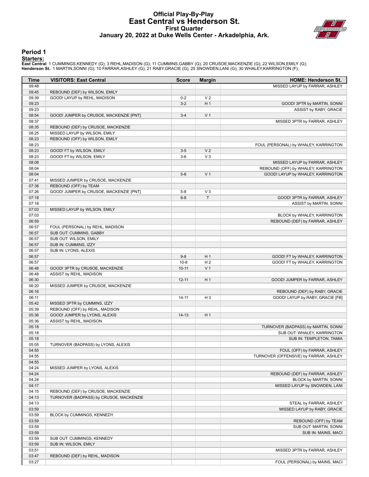#### **Official Play-By-Play East Central vs Henderson St. First Quarter January 20, 2022 at Duke Wells Center - Arkadelphia, Ark.**



#### **Period 1**

<mark>Startersː</mark><br>East Central: 1 CUMMINGS,KENNEDY (G); 3 REHL,MADISON (G); 11 CUMMINS,GABBY (G); 20 CRUSOE,MACKENZIE (G); 22 WILSON,EMILY (G);<br>**Henderson St.**: 1 MARTIN,SONNI (G); 10 FARRAR,ASHLEY (G); 21 RABY,GRACIE (G); 25 SN

| Time           | <b>VISITORS: East Central</b>                       | <b>Score</b> | <b>Margin</b>  | <b>HOME: Henderson St.</b>             |
|----------------|-----------------------------------------------------|--------------|----------------|----------------------------------------|
| 09:48          |                                                     |              |                | MISSED LAYUP by FARRAR, ASHLEY         |
| 09:45          | REBOUND (DEF) by WILSON, EMILY                      |              |                |                                        |
| 09:39          | GOOD! LAYUP by REHL, MADISON                        | $0 - 2$      | V <sub>2</sub> |                                        |
| 09:23          |                                                     | $3 - 2$      | H <sub>1</sub> | GOOD! 3PTR by MARTIN, SONNI            |
| 09:23          |                                                     |              |                | ASSIST by RABY, GRACIE                 |
| 08:54          | GOOD! JUMPER by CRUSOE, MACKENZIE [PNT]             | $3 - 4$      | V <sub>1</sub> |                                        |
| 08:37          |                                                     |              |                | MISSED 3PTR by FARRAR, ASHLEY          |
| 08:35          | REBOUND (DEF) by CRUSOE, MACKENZIE                  |              |                |                                        |
| 08:25          | MISSED LAYUP by WILSON, EMILY                       |              |                |                                        |
| 08:23          | REBOUND (OFF) by WILSON, EMILY                      |              |                |                                        |
| 08:23<br>08:23 | GOOD! FT by WILSON, EMILY                           | $3-5$        | V <sub>2</sub> | FOUL (PERSONAL) by WHALEY, KARRINGTON  |
| 08:23          | GOOD! FT by WILSON, EMILY                           | $3-6$        | $V_3$          |                                        |
| 08:08          |                                                     |              |                | MISSED LAYUP by FARRAR, ASHLEY         |
| 08:04          |                                                     |              |                | REBOUND (OFF) by WHALEY, KARRINGTON    |
| 08:04          |                                                     | $5-6$        | V <sub>1</sub> | GOOD! LAYUP by WHALEY, KARRINGTON      |
| 07:41          | MISSED JUMPER by CRUSOE, MACKENZIE                  |              |                |                                        |
| 07:38          | REBOUND (OFF) by TEAM                               |              |                |                                        |
| 07:26          | GOOD! JUMPER by CRUSOE, MACKENZIE [PNT]             | $5 - 8$      | $V_3$          |                                        |
| 07:18          |                                                     | $8 - 8$      | T              | GOOD! 3PTR by FARRAR, ASHLEY           |
| 07:18          |                                                     |              |                | ASSIST by MARTIN, SONNI                |
| 07:03          | MISSED LAYUP by WILSON, EMILY                       |              |                |                                        |
| 07:03          |                                                     |              |                | <b>BLOCK by WHALEY, KARRINGTON</b>     |
| 06:59          |                                                     |              |                | REBOUND (DEF) by FARRAR, ASHLEY        |
| 06:57          | FOUL (PERSONAL) by REHL, MADISON                    |              |                |                                        |
| 06:57          | SUB OUT: CUMMINS, GABBY                             |              |                |                                        |
| 06:57          | SUB OUT: WILSON, EMILY                              |              |                |                                        |
| 06:57<br>06:57 | SUB IN: CUMMINS, IZZY                               |              |                |                                        |
| 06:57          | SUB IN: LYONS, ALEXIS                               | $9-8$        | H <sub>1</sub> | GOOD! FT by WHALEY, KARRINGTON         |
| 06:57          |                                                     | $10 - 8$     | H <sub>2</sub> | GOOD! FT by WHALEY, KARRINGTON         |
| 06:48          | GOOD! 3PTR by CRUSOE, MACKENZIE                     | $10 - 11$    | V <sub>1</sub> |                                        |
| 06:48          | ASSIST by REHL, MADISON                             |              |                |                                        |
| 06:30          |                                                     | $12 - 11$    | H <sub>1</sub> | GOOD! JUMPER by FARRAR, ASHLEY         |
| 06:20          | MISSED JUMPER by CRUSOE, MACKENZIE                  |              |                |                                        |
| 06:16          |                                                     |              |                | REBOUND (DEF) by RABY, GRACIE          |
| 06:11          |                                                     | $14 - 11$    | H <sub>3</sub> | GOOD! LAYUP by RABY, GRACIE [FB]       |
| 05:42          | MISSED 3PTR by CUMMINS, IZZY                        |              |                |                                        |
| 05:39          | REBOUND (OFF) by REHL, MADISON                      |              |                |                                        |
| 05:36          | GOOD! JUMPER by LYONS, ALEXIS                       | $14 - 13$    | H <sub>1</sub> |                                        |
| 05:36          | ASSIST by REHL, MADISON                             |              |                |                                        |
| 05:18          |                                                     |              |                | TURNOVER (BADPASS) by MARTIN, SONNI    |
| 05:18          |                                                     |              |                | SUB OUT: WHALEY, KARRINGTON            |
| 05:18<br>05:05 | TURNOVER (BADPASS) by LYONS, ALEXIS                 |              |                | SUB IN: TEMPLETON, TAMIA               |
| 04:55          |                                                     |              |                | FOUL (OFF) by FARRAR, ASHLEY           |
| 04:55          |                                                     |              |                | TURNOVER (OFFENSIVE) by FARRAR, ASHLEY |
| 04:55          |                                                     |              |                |                                        |
| 04:24          | MISSED JUMPER by LYONS, ALEXIS                      |              |                |                                        |
| 04:24          |                                                     |              |                | REBOUND (DEF) by FARRAR, ASHLEY        |
| 04:24          |                                                     |              |                | BLOCK by MARTIN, SONNI                 |
| 04:17          |                                                     |              |                | MISSED LAYUP by SNOWDEN, LANI          |
| 04:15          | REBOUND (DEF) by CRUSOE, MACKENZIE                  |              |                |                                        |
| 04:13          | TURNOVER (BADPASS) by CRUSOE, MACKENZIE             |              |                |                                        |
| 04:13          |                                                     |              |                | STEAL by FARRAR, ASHLEY                |
| 03:59          |                                                     |              |                | MISSED LAYUP by RABY, GRACIE           |
| 03:59          | BLOCK by CUMMINGS, KENNEDY                          |              |                |                                        |
| 03:59          |                                                     |              |                | REBOUND (OFF) by TEAM                  |
| 03:59          |                                                     |              |                | SUB OUT: MARTIN, SONNI                 |
| 03:59          |                                                     |              |                | SUB IN: MAINS, MACI                    |
| 03:59<br>03:59 | SUB OUT: CUMMINGS, KENNEDY<br>SUB IN: WILSON, EMILY |              |                |                                        |
| 03:51          |                                                     |              |                | MISSED 3PTR by FARRAR, ASHLEY          |
| 03:47          | REBOUND (DEF) by REHL, MADISON                      |              |                |                                        |
| 03:27          |                                                     |              |                | FOUL (PERSONAL) by MAINS, MACI         |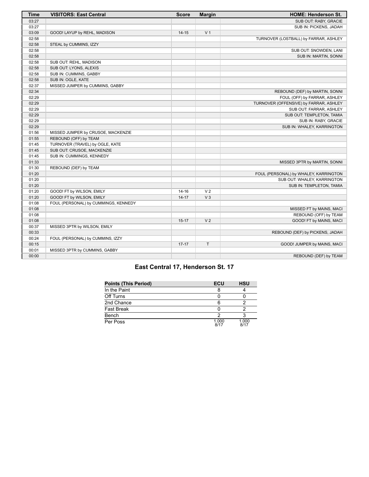| <b>Time</b> | <b>VISITORS: East Central</b>        | <b>Score</b> | <b>Margin</b>  | <b>HOME: Henderson St.</b>             |
|-------------|--------------------------------------|--------------|----------------|----------------------------------------|
| 03:27       |                                      |              |                | SUB OUT: RABY, GRACIE                  |
| 03:27       |                                      |              |                | SUB IN: PICKENS, JADAH                 |
| 03:09       | GOOD! LAYUP by REHL, MADISON         | $14 - 15$    | V <sub>1</sub> |                                        |
| 02:58       |                                      |              |                | TURNOVER (LOSTBALL) by FARRAR, ASHLEY  |
| 02:58       | STEAL by CUMMINS, IZZY               |              |                |                                        |
| 02:58       |                                      |              |                | SUB OUT: SNOWDEN, LANI                 |
| 02:58       |                                      |              |                | SUB IN: MARTIN, SONNI                  |
| 02:58       | SUB OUT: REHL, MADISON               |              |                |                                        |
| 02:58       | SUB OUT: LYONS, ALEXIS               |              |                |                                        |
| 02:58       | SUB IN: CUMMINS, GABBY               |              |                |                                        |
| 02:58       | SUB IN: OGLE, KATE                   |              |                |                                        |
| 02:37       | MISSED JUMPER by CUMMINS, GABBY      |              |                |                                        |
| 02:34       |                                      |              |                | REBOUND (DEF) by MARTIN, SONNI         |
| 02:29       |                                      |              |                | FOUL (OFF) by FARRAR, ASHLEY           |
| 02:29       |                                      |              |                | TURNOVER (OFFENSIVE) by FARRAR, ASHLEY |
| 02:29       |                                      |              |                | SUB OUT: FARRAR, ASHLEY                |
| 02:29       |                                      |              |                | SUB OUT: TEMPLETON, TAMIA              |
| 02:29       |                                      |              |                | SUB IN: RABY, GRACIE                   |
| 02:29       |                                      |              |                | SUB IN: WHALEY, KARRINGTON             |
| 01:56       | MISSED JUMPER by CRUSOE, MACKENZIE   |              |                |                                        |
| 01:55       | REBOUND (OFF) by TEAM                |              |                |                                        |
| 01:45       | TURNOVER (TRAVEL) by OGLE, KATE      |              |                |                                        |
| 01:45       | SUB OUT: CRUSOE, MACKENZIE           |              |                |                                        |
| 01:45       | SUB IN: CUMMINGS, KENNEDY            |              |                |                                        |
| 01:33       |                                      |              |                | MISSED 3PTR by MARTIN, SONNI           |
| 01:30       | REBOUND (DEF) by TEAM                |              |                |                                        |
| 01:20       |                                      |              |                | FOUL (PERSONAL) by WHALEY, KARRINGTON  |
| 01:20       |                                      |              |                | SUB OUT: WHALEY, KARRINGTON            |
| 01:20       |                                      |              |                | SUB IN: TEMPLETON, TAMIA               |
| 01:20       | GOOD! FT by WILSON, EMILY            | $14 - 16$    | V <sub>2</sub> |                                        |
| 01:20       | GOOD! FT by WILSON, EMILY            | $14 - 17$    | V <sub>3</sub> |                                        |
| 01:08       | FOUL (PERSONAL) by CUMMINGS, KENNEDY |              |                |                                        |
| 01:08       |                                      |              |                | MISSED FT by MAINS, MACI               |
| 01:08       |                                      |              |                | REBOUND (OFF) by TEAM                  |
| 01:08       |                                      | $15 - 17$    | V <sub>2</sub> | GOOD! FT by MAINS, MACI                |
| 00:37       | MISSED 3PTR by WILSON, EMILY         |              |                |                                        |
| 00:33       |                                      |              |                | REBOUND (DEF) by PICKENS, JADAH        |
| 00:24       | FOUL (PERSONAL) by CUMMINS, IZZY     |              |                |                                        |
| 00:15       |                                      | $17 - 17$    | $\top$         | GOOD! JUMPER by MAINS, MACI            |
| 00:01       | MISSED 3PTR by CUMMINS, GABBY        |              |                |                                        |
| 00:00       |                                      |              |                | REBOUND (DEF) by TEAM                  |

## **East Central 17, Henderson St. 17**

| <b>Points (This Period)</b> | <b>ECU</b>    | <b>HSU</b>    |
|-----------------------------|---------------|---------------|
| In the Paint                |               |               |
| Off Turns                   |               |               |
| 2nd Chance                  |               |               |
| <b>Fast Break</b>           |               |               |
| Bench                       |               |               |
| Per Poss                    | 1.000<br>R/17 | 1.000<br>R/17 |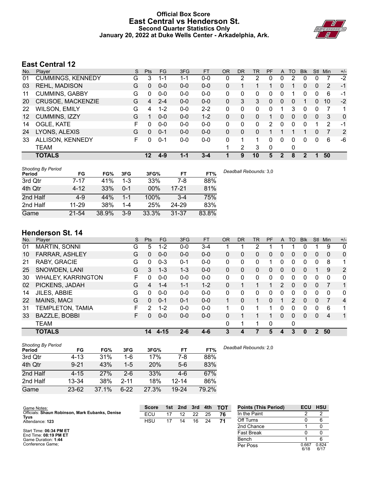### **Official Box Score East Central vs Henderson St. Second Quarter Statistics Only January 20, 2022 at Duke Wells Center - Arkadelphia, Ark.**



### **East Central 12**

| No.               | Plaver                   | S | <b>Pts</b> | <b>FG</b> | 3FG     | <b>FT</b> | <b>OR</b> | DR | TR | PF            | A            | TO       | <b>BIK</b>     | Stl          | Min | $+/-$        |
|-------------------|--------------------------|---|------------|-----------|---------|-----------|-----------|----|----|---------------|--------------|----------|----------------|--------------|-----|--------------|
| 01                | <b>CUMMINGS, KENNEDY</b> | G | 3          | 1-1       | 1-1     | $0 - 0$   | 0         | 2  | 2  | 0             | 0            | 2        | 0              | 0            | 7   | $-2$         |
| 03                | <b>REHL, MADISON</b>     | G | 0          | $0 - 0$   | $0 - 0$ | $0-0$     | 0         |    |    |               | 0            |          | 0              | $\mathbf{0}$ | 2   | $-1$         |
| 11                | <b>CUMMINS, GABBY</b>    | G | 0          | $0 - 0$   | $0 - 0$ | $0 - 0$   | $\Omega$  | 0  | 0  | 0             | 0            |          | 0              | 0            | 6   | $-1$         |
| 20                | CRUSOE, MACKENZIE        | G | 4          | $2 - 4$   | $0 - 0$ | $0-0$     | $\Omega$  | 3  | 3  | 0             | $\mathbf{0}$ | $\Omega$ | 1              | 0            | 10  | $-2$         |
| 22                | <b>WILSON, EMILY</b>     | G | 4          | 1-2       | $0-0$   | $2 - 2$   | 0         | 0  | 0  | 0             |              | 3        | 0              | 0            |     | 1            |
| $12 \overline{ }$ | CUMMINS, IZZY            | G |            | $0 - 0$   | $0 - 0$ | $1 - 2$   | 0         | 0  | 0  |               | 0            | 0        | 0              | $\mathbf{0}$ | 3   | $\mathbf{0}$ |
| 14                | OGLE, KATE               | F | n          | $0 - 0$   | $0 - 0$ | $0 - 0$   | 0         | 0  | 0  | $\mathcal{P}$ | 0            | 0        |                |              | 2   | -1           |
| 24                | LYONS, ALEXIS            | G | 0          | $0 - 1$   | $0 - 0$ | $0 - 0$   | $\Omega$  | 0  | 0  |               |              |          |                | $\Omega$     | 7   | 2            |
| 33                | ALLISON, KENNEDY         | F | U          | $0 - 1$   | $0 - 0$ | $0 - 0$   | 0         |    | 1  | 0             | 0            | 0        | 0              | 0            | 6   | -6           |
|                   | TEAM                     |   |            |           |         |           |           | 2  | 3  | 0             |              | 0        |                |              |     |              |
|                   | <b>TOTALS</b>            |   | $12 \,$    | $4-9$     | $1 - 1$ | $3 - 4$   |           | 9  | 10 | 5             | 2            | 8        | $\overline{2}$ | п            | 50  |              |

| <b>Shooting By Period</b><br>Period | FG        | FG%   | 3FG     | 3FG%   | FT        | FT%   | Deadball Rebounds: 3,0 |
|-------------------------------------|-----------|-------|---------|--------|-----------|-------|------------------------|
| 3rd Qtr                             | 7-17      | 41%   | 1-3     | 33%    | 7-8       | 88%   |                        |
| 4th Qtr                             | $4 - 12$  | 33%   | $0 - 1$ | $00\%$ | $17 - 21$ | 81%   |                        |
| 2nd Half                            | $4-9$     | 44%   | 1-1     | 100%   | $3-4$     | 75%   |                        |
| 2nd Half                            | $11 - 29$ | 38%   | $1 - 4$ | 25%    | 24-29     | 83%   |                        |
| Game                                | 21-54     | 38.9% | $3-9$   | 33.3%  | 31-37     | 83.8% |                        |

### **Henderson St. 14**

| No. | Player                    | S  | Pts      | FG.      | 3FG     | <b>FT</b> | <b>OR</b> | <b>DR</b> | <b>TR</b>    | PF | A | TO            | <b>Blk</b> | <b>Stl</b>     | Min      | $+/-$ |
|-----|---------------------------|----|----------|----------|---------|-----------|-----------|-----------|--------------|----|---|---------------|------------|----------------|----------|-------|
| 01  | MARTIN, SONNI             | G  | 5        | $1 - 2$  | $0 - 0$ | $3 - 4$   |           |           | 2            |    |   |               |            |                | 9        | 0     |
| 10  | <b>FARRAR, ASHLEY</b>     | G  | 0        | $0 - 0$  | $0 - 0$ | $0 - 0$   | 0         | 0         | 0            | 0  | 0 | 0             | 0          | $\overline{0}$ | 0        | 0     |
| 21  | RABY, GRACIE              | G  | 0        | $0 - 3$  | $0 - 1$ | $0-0$     | 0         | 0         | 0            |    | 0 | 0             | 0          | 0              | 8        | 1     |
| 25  | SNOWDEN, LANI             | G  | 3        | $1 - 3$  | $1 - 3$ | $0-0$     | $\Omega$  | 0         | 0            | 0  | 0 | $\Omega$      | 0          |                | 9        | 2     |
| 30  | <b>WHALEY, KARRINGTON</b> | F  | 0        | $0 - 0$  | $0 - 0$ | $0 - 0$   | 0         | 0         | 0            | 0  | 0 | 0             | 0          | 0              | $\Omega$ | 0     |
| 02  | PICKENS, JADAH            | G  | 4        | $1 - 4$  | $1 - 1$ | $1 - 2$   | $\Omega$  |           | 1            | 1  | 2 | $\Omega$      | $\Omega$   | $\Omega$       | 7        | 1     |
| 14  | JILES, ABBIE              | G  | 0        | $0 - 0$  | $0 - 0$ | $0 - 0$   | 0         | 0         | 0            | 0  | 0 | 0             | 0          | 0              | 0        | 0     |
| 22  | MAINS, MACI               | G  | $\Omega$ | $0 - 1$  | $0 - 1$ | $0 - 0$   |           | 0         | $\mathbf{1}$ | 0  |   | $\mathcal{P}$ | 0          | $\Omega$       |          | 4     |
| 31  | TEMPLETON, TAMIA          | F  | 2        | $1 - 2$  | $0 - 0$ | $0 - 0$   |           | 0         |              |    | 0 | 0             | 0          | 0              | 6        | 1     |
| 33  | BAZZLE, BOBBI             | F. | 0        | $0 - 0$  | $0 - 0$ | $0 - 0$   | 0         |           |              |    | 0 | $\Omega$      | 0          | $\Omega$       | 4        | 1     |
|     | <b>TEAM</b>               |    |          |          |         |           | 0         |           | 1            | 0  |   | 0             |            |                |          |       |
|     | <b>TOTALS</b>             |    | 14       | $4 - 15$ | $2 - 6$ | $4 - 6$   | 3         | 4         |              | 5  | Д | 3             | 0          | $\mathcal{P}$  | 50       |       |

| <b>Shooting By Period</b><br>Period | FG        | FG%   | 3FG      | 3FG%       | FT        | FT%   | Deadball Rebounds: 2,0 |
|-------------------------------------|-----------|-------|----------|------------|-----------|-------|------------------------|
| 3rd Qtr                             | $4 - 13$  | 31%   | 1-6      | 17%        | 7-8       | 88%   |                        |
| 4th Qtr                             | $9 - 21$  | 43%   | 1-5      | <b>20%</b> | $5-6$     | 83%   |                        |
| 2nd Half                            | $4 - 15$  | 27%   | $2 - 6$  | 33%        | $4-6$     | 67%   |                        |
| 2nd Half                            | 13-34     | 38%   | $2 - 11$ | 18%        | $12 - 14$ | 86%   |                        |
| Game                                | $23 - 62$ | 37.1% | $6 - 22$ | 27.3%      | $19 - 24$ | 79.2% |                        |

| Game Notes:                                      | <b>Score</b> | 1st l | 2nd | 3rd | 4th | <b>TOT</b> | <b>Points (This Period)</b> | <b>ECU</b>    | <b>HSU</b>    |
|--------------------------------------------------|--------------|-------|-----|-----|-----|------------|-----------------------------|---------------|---------------|
| Officials: Shaun Robinson, Mark Eubanks, Denise  | ECU          |       |     | 22  | 25  | 76         | In the Paint                |               |               |
| <b>Tyus</b><br>Attendance: 123                   | <b>HSU</b>   |       | 14  | 16  | 24  | 71         | Off Turns                   |               |               |
|                                                  |              |       |     |     |     |            | 2nd Chance                  |               |               |
| Start Time: 06:34 PM ET<br>End Time: 08:19 PM ET |              |       |     |     |     |            | <b>Fast Break</b>           |               |               |
| Game Duration: 1:44                              |              |       |     |     |     |            | Bench                       |               |               |
| Conference Game:                                 |              |       |     |     |     |            | Per Poss                    | 0.667<br>6/18 | 0.824<br>6/17 |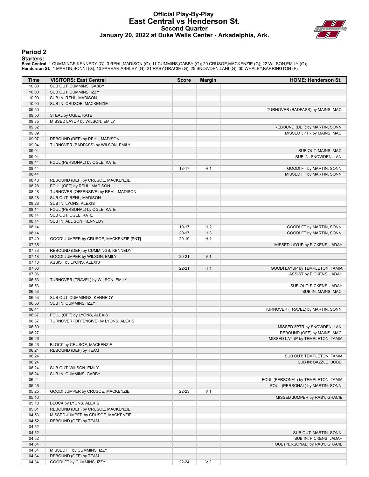#### **Official Play-By-Play East Central vs Henderson St. Second Quarter January 20, 2022 at Duke Wells Center - Arkadelphia, Ark.**



#### **Period 2**

#### **Starters:**

**East Centra**l: 1 CUMMINGS,KENNEDY (G); 3 REHL,MADISON (G); 11 CUMMINS,GABBY (G); 20 CRUSOE,MACKENZIE (G); 22 WILSON,EMILY (G);<br>**Henderson St.**: 1 MARTIN,SONNI (G); 10 FARRAR,ASHLEY (G); 21 RABY,GRACIE (G); 25 SNOWDEN,LANI

| Time           | <b>VISITORS: East Central</b>           | <b>Score</b> | <b>Margin</b>  | <b>HOME: Henderson St.</b>          |
|----------------|-----------------------------------------|--------------|----------------|-------------------------------------|
| 10:00          | SUB OUT: CUMMINS, GABBY                 |              |                |                                     |
| 10:00          | SUB OUT: CUMMINS, IZZY                  |              |                |                                     |
| 10:00          | SUB IN: REHL, MADISON                   |              |                |                                     |
| 10:00          | SUB IN: CRUSOE, MACKENZIE               |              |                |                                     |
| 09:50          |                                         |              |                | TURNOVER (BADPASS) by MAINS, MACI   |
| 09:50          | STEAL by OGLE, KATE                     |              |                |                                     |
| 09:35          | MISSED LAYUP by WILSON, EMILY           |              |                |                                     |
| 09:32          |                                         |              |                | REBOUND (DEF) by MARTIN, SONNI      |
| 09:09          |                                         |              |                | MISSED 3PTR by MAINS, MACI          |
| 09:07          | REBOUND (DEF) by REHL, MADISON          |              |                |                                     |
| 09:04          | TURNOVER (BADPASS) by WILSON, EMILY     |              |                |                                     |
| 09:04          |                                         |              |                | SUB OUT: MAINS, MACI                |
| 09:04          |                                         |              |                | SUB IN: SNOWDEN, LANI               |
| 08:44          | FOUL (PERSONAL) by OGLE, KATE           |              |                |                                     |
| 08:44          |                                         | $18 - 17$    | H <sub>1</sub> | GOOD! FT by MARTIN, SONNI           |
| 08:44          |                                         |              |                | MISSED FT by MARTIN, SONNI          |
| 08:43          | REBOUND (DEF) by CRUSOE, MACKENZIE      |              |                |                                     |
| 08:28          | FOUL (OFF) by REHL, MADISON             |              |                |                                     |
| 08:28          | TURNOVER (OFFENSIVE) by REHL, MADISON   |              |                |                                     |
| 08:28          | SUB OUT: REHL, MADISON                  |              |                |                                     |
| 08:28          | SUB IN: LYONS, ALEXIS                   |              |                |                                     |
| 08:14          | FOUL (PERSONAL) by OGLE, KATE           |              |                |                                     |
| 08:14          | SUB OUT: OGLE, KATE                     |              |                |                                     |
| 08:14          | SUB IN: ALLISON, KENNEDY                |              |                |                                     |
| 08:14          |                                         | 19-17        | H <sub>2</sub> | GOOD! FT by MARTIN, SONNI           |
| 08:14          |                                         | $20 - 17$    | $H_3$          | GOOD! FT by MARTIN, SONNI           |
| 07:49          | GOOD! JUMPER by CRUSOE, MACKENZIE [PNT] | $20 - 19$    | H <sub>1</sub> |                                     |
| 07:35          |                                         |              |                | MISSED LAYUP by PICKENS, JADAH      |
| 07:33          | REBOUND (DEF) by CUMMINGS, KENNEDY      | $20 - 21$    | V <sub>1</sub> |                                     |
| 07:18<br>07:18 | GOOD! JUMPER by WILSON, EMILY           |              |                |                                     |
| 07:06          | ASSIST by LYONS, ALEXIS                 | $22 - 21$    | H <sub>1</sub> | GOOD! LAYUP by TEMPLETON, TAMIA     |
| 07:06          |                                         |              |                | ASSIST by PICKENS, JADAH            |
| 06:53          | TURNOVER (TRAVEL) by WILSON, EMILY      |              |                |                                     |
| 06:53          |                                         |              |                | SUB OUT: PICKENS, JADAH             |
| 06:53          |                                         |              |                | SUB IN: MAINS, MACI                 |
| 06:53          | SUB OUT: CUMMINGS, KENNEDY              |              |                |                                     |
| 06:53          | SUB IN: CUMMINS, IZZY                   |              |                |                                     |
| 06:44          |                                         |              |                | TURNOVER (TRAVEL) by MARTIN, SONNI  |
| 06:37          | FOUL (OFF) by LYONS, ALEXIS             |              |                |                                     |
| 06:37          | TURNOVER (OFFENSIVE) by LYONS, ALEXIS   |              |                |                                     |
| 06:30          |                                         |              |                | MISSED 3PTR by SNOWDEN, LANI        |
| 06:27          |                                         |              |                | REBOUND (OFF) by MAINS, MACI        |
| 06:26          |                                         |              |                | MISSED LAYUP by TEMPLETON, TAMIA    |
| 06:26          | BLOCK by CRUSOE, MACKENZIE              |              |                |                                     |
| 06:24          | REBOUND (DEF) by TEAM                   |              |                |                                     |
| 06:24          |                                         |              |                | SUB OUT: TEMPLETON, TAMIA           |
| 06:24          |                                         |              |                | SUB IN: BAZZLE, BOBBI               |
| 06:24          | SUB OUT: WILSON, EMILY                  |              |                |                                     |
| 06:24          | SUB IN: CUMMINS, GABBY                  |              |                |                                     |
| 06:24          |                                         |              |                | FOUL (PERSONAL) by TEMPLETON, TAMIA |
| 05:46          |                                         |              |                | FOUL (PERSONAL) by MARTIN, SONNI    |
| 05:25          | GOOD! JUMPER by CRUSOE, MACKENZIE       | 22-23        | V <sub>1</sub> |                                     |
| 05:10          |                                         |              |                | MISSED JUMPER by RABY, GRACIE       |
| 05:10          | BLOCK by LYONS, ALEXIS                  |              |                |                                     |
| 05:01          | REBOUND (DEF) by CRUSOE, MACKENZIE      |              |                |                                     |
| 04:53          | MISSED JUMPER by CRUSOE, MACKENZIE      |              |                |                                     |
| 04:52          | REBOUND (OFF) by TEAM                   |              |                |                                     |
| 04:52          |                                         |              |                |                                     |
| 04:52          |                                         |              |                | SUB OUT: MARTIN, SONNI              |
| 04:52          |                                         |              |                | SUB IN: PICKENS, JADAH              |
| 04:34          |                                         |              |                | FOUL (PERSONAL) by RABY, GRACIE     |
| 04:34          | MISSED FT by CUMMINS, IZZY              |              |                |                                     |
| 04:34          | REBOUND (OFF) by TEAM                   |              |                |                                     |
| 04:34          | GOOD! FT by CUMMINS, IZZY               | 22-24        | V <sub>2</sub> |                                     |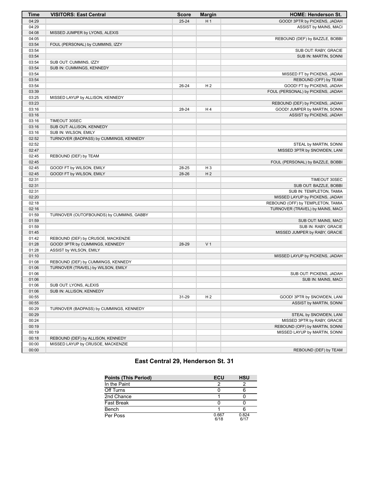| Time           | <b>VISITORS: East Central</b>                                    | <b>Score</b> | <b>Margin</b>  | <b>HOME: Henderson St.</b>        |
|----------------|------------------------------------------------------------------|--------------|----------------|-----------------------------------|
| 04:29          |                                                                  | $25 - 24$    | H <sub>1</sub> | GOOD! 3PTR by PICKENS, JADAH      |
| 04:29          |                                                                  |              |                | ASSIST by MAINS, MACI             |
| 04:08          | MISSED JUMPER by LYONS, ALEXIS                                   |              |                |                                   |
| 04:05          |                                                                  |              |                | REBOUND (DEF) by BAZZLE, BOBBI    |
| 03:54          | FOUL (PERSONAL) by CUMMINS, IZZY                                 |              |                |                                   |
| 03:54          |                                                                  |              |                | SUB OUT: RABY, GRACIE             |
| 03:54          |                                                                  |              |                | SUB IN: MARTIN, SONNI             |
| 03:54          | SUB OUT: CUMMINS, IZZY                                           |              |                |                                   |
| 03:54          | SUB IN: CUMMINGS, KENNEDY                                        |              |                |                                   |
| 03:54          |                                                                  |              |                | MISSED FT by PICKENS, JADAH       |
| 03:54          |                                                                  |              |                | REBOUND (OFF) by TEAM             |
| 03:54          |                                                                  | 26-24        | H <sub>2</sub> | GOOD! FT by PICKENS, JADAH        |
| 03:39          |                                                                  |              |                | FOUL (PERSONAL) by PICKENS, JADAH |
| 03:25          | MISSED LAYUP by ALLISON, KENNEDY                                 |              |                |                                   |
| 03:23          |                                                                  |              |                | REBOUND (DEF) by PICKENS, JADAH   |
| 03:16          |                                                                  | 28-24        | H4             | GOOD! JUMPER by MARTIN, SONNI     |
| 03:16          |                                                                  |              |                | ASSIST by PICKENS, JADAH          |
| 03:16          | TIMEOUT 30SEC                                                    |              |                |                                   |
| 03:16          | SUB OUT: ALLISON, KENNEDY                                        |              |                |                                   |
| 03:16<br>02:52 | SUB IN: WILSON, EMILY<br>TURNOVER (BADPASS) by CUMMINGS, KENNEDY |              |                |                                   |
| 02:52          |                                                                  |              |                | STEAL by MARTIN, SONNI            |
| 02:47          |                                                                  |              |                | MISSED 3PTR by SNOWDEN, LANI      |
| 02:45          | REBOUND (DEF) by TEAM                                            |              |                |                                   |
| 02:45          |                                                                  |              |                | FOUL (PERSONAL) by BAZZLE, BOBBI  |
| 02:45          | GOOD! FT by WILSON, EMILY                                        | 28-25        | H <sub>3</sub> |                                   |
| 02:45          | GOOD! FT by WILSON, EMILY                                        | 28-26        | H <sub>2</sub> |                                   |
| 02:31          |                                                                  |              |                | TIMEOUT 30SEC                     |
| 02:31          |                                                                  |              |                | SUB OUT: BAZZLE, BOBBI            |
| 02:31          |                                                                  |              |                | SUB IN: TEMPLETON, TAMIA          |
| 02:20          |                                                                  |              |                | MISSED LAYUP by PICKENS, JADAH    |
| 02:18          |                                                                  |              |                | REBOUND (OFF) by TEMPLETON, TAMIA |
| 02:16          |                                                                  |              |                | TURNOVER (TRAVEL) by MAINS, MACI  |
| 01:59          | TURNOVER (OUTOFBOUNDS) by CUMMINS, GABBY                         |              |                |                                   |
| 01:59          |                                                                  |              |                | SUB OUT: MAINS, MACI              |
| 01:59          |                                                                  |              |                | SUB IN: RABY, GRACIE              |
| 01:45          |                                                                  |              |                | MISSED JUMPER by RABY, GRACIE     |
| 01:42          | REBOUND (DEF) by CRUSOE, MACKENZIE                               |              |                |                                   |
| 01:28          | GOOD! 3PTR by CUMMINGS, KENNEDY                                  | 28-29        | V <sub>1</sub> |                                   |
| 01:28          | ASSIST by WILSON, EMILY                                          |              |                |                                   |
| 01:10          |                                                                  |              |                | MISSED LAYUP by PICKENS, JADAH    |
| 01:08          | REBOUND (DEF) by CUMMINGS, KENNEDY                               |              |                |                                   |
| 01:06          | TURNOVER (TRAVEL) by WILSON, EMILY                               |              |                |                                   |
| 01:06          |                                                                  |              |                | SUB OUT: PICKENS, JADAH           |
| 01:06          |                                                                  |              |                | SUB IN: MAINS, MACI               |
| 01:06          | SUB OUT: LYONS, ALEXIS                                           |              |                |                                   |
| 01:06          | SUB IN: ALLISON, KENNEDY                                         |              |                |                                   |
| 00:55          |                                                                  | 31-29        | H <sub>2</sub> | GOOD! 3PTR by SNOWDEN, LANI       |
| 00:55          |                                                                  |              |                | ASSIST by MARTIN, SONNI           |
| 00:29          | TURNOVER (BADPASS) by CUMMINGS, KENNEDY                          |              |                |                                   |
| 00:29          |                                                                  |              |                | STEAL by SNOWDEN, LANI            |
| 00:24          |                                                                  |              |                | MISSED 3PTR by RABY, GRACIE       |
| 00:19          |                                                                  |              |                | REBOUND (OFF) by MARTIN, SONNI    |
| 00:19          |                                                                  |              |                | MISSED LAYUP by MARTIN, SONNI     |
| 00:18          | REBOUND (DEF) by ALLISON, KENNEDY                                |              |                |                                   |
| 00:00          | MISSED LAYUP by CRUSOE, MACKENZIE                                |              |                |                                   |
| 00:00          |                                                                  |              |                | REBOUND (DEF) by TEAM             |

### **East Central 29, Henderson St. 31**

| <b>Points (This Period)</b> | ECU           | <b>HSU</b>    |
|-----------------------------|---------------|---------------|
| In the Paint                | っ             |               |
| Off Turns                   |               |               |
| 2nd Chance                  |               |               |
| <b>Fast Break</b>           |               |               |
| Bench                       |               |               |
| Per Poss                    | 0.667<br>6/18 | 0.824<br>6/17 |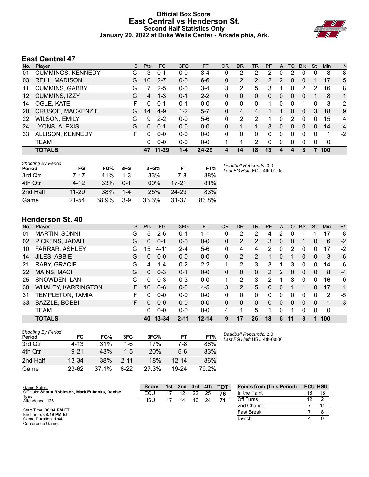### **Official Box Score East Central vs Henderson St. Second Half Statistics Only January 20, 2022 at Duke Wells Center - Arkadelphia, Ark.**



### **East Central 47**

| No. | Player                   | S | <b>Pts</b> | <b>FG</b> | 3FG     | <b>FT</b> | <b>OR</b> | <b>DR</b> | TR | PF | A | TO       | <b>Blk</b> | Stl | <b>Min</b> | $+/-$          |
|-----|--------------------------|---|------------|-----------|---------|-----------|-----------|-----------|----|----|---|----------|------------|-----|------------|----------------|
| 01  | <b>CUMMINGS, KENNEDY</b> | G | 3          | $0 - 1$   | $0 - 0$ | $3 - 4$   | 0         | 2         | 2  | 2  | 0 | 2        | $\Omega$   | 0   | 8          | 8              |
| 03  | <b>REHL, MADISON</b>     | G | 10         | $2 - 7$   | $0 - 0$ | $6-6$     | 0         | 2         | 2  | 2  | 2 | 0        | $\Omega$   |     | 17         | 5              |
| 11  | <b>CUMMINS, GABBY</b>    | G |            | 2-5       | $0 - 0$ | $3 - 4$   | 3         | 2         | 5  | 3  |   | 0        | 2          | 2   | 16         | 8              |
| 12  | CUMMINS, IZZY            | G | 4          | $1 - 3$   | $0 - 1$ | $2 - 2$   | 0         | 0         | 0  | 0  | 0 | 0        | 0          |     | 8          | 1              |
| 14  | OGLE, KATE               | F | 0          | $0 - 1$   | $0 - 1$ | $0 - 0$   | 0         | 0         | 0  |    | 0 | 0        |            | 0   | 3          | $-2$           |
| 20  | CRUSOE, MACKENZIE        | G | 14         | $4-9$     | $1 - 2$ | $5 - 7$   | 0         | 4         | 4  |    |   | 0        | 0          | 3   | 18         | 9              |
| 22  | <b>WILSON, EMILY</b>     | G | 9          | $2 - 2$   | $0 - 0$ | $5-6$     | 0         | 2         | 2  |    | 0 | 2        | $\Omega$   | 0   | 15         | 4              |
| 24  | LYONS, ALEXIS            | G | 0          | $0 - 1$   | $0 - 0$ | $0 - 0$   | 0         |           | 1  | 3  | 0 | $\Omega$ | $\Omega$   | 0   | 14         | $\overline{4}$ |
| 33  | ALLISON, KENNEDY         | F | 0          | $0 - 0$   | $0 - 0$ | $0 - 0$   | $\Omega$  | 0         | 0  | 0  | 0 | 0        | $\Omega$   | 0   | 1          | $-2$           |
|     | <b>TEAM</b>              |   | 0          | $0 - 0$   | $0 - 0$ | $0 - 0$   |           | 1         | 2  | 0  | 0 | 0        | $\Omega$   | 0   | 0          |                |
|     | <b>TOTALS</b>            |   | 47         | $11 - 29$ | $1 - 4$ | 24-29     | 4         | 14        | 18 | 13 | 4 | 4        |            |     | 100        |                |

| <b>Shooting By Period</b><br>Period | FG        | FG%   | 3FG     | 3FG%   | FT        | FT%   | Deadball Rebounds: 3,0<br>Last FG Half: ECU 4th-01:05 |
|-------------------------------------|-----------|-------|---------|--------|-----------|-------|-------------------------------------------------------|
| 3rd Qtr                             | 7-17      | 41%   | $1 - 3$ | 33%    | 7-8       | 88%   |                                                       |
| 4th Qtr                             | $4 - 12$  | 33%   | $0 - 1$ | $00\%$ | $17-21$   | 81%   |                                                       |
| 2nd Half                            | $11 - 29$ | 38%   | $1 - 4$ | 25%    | 24-29     | 83%   |                                                       |
| Game                                | 21-54     | 38.9% | $3-9$   | 33.3%  | $31 - 37$ | 83.8% |                                                       |

### **Henderson St. 40**

| No. | Plaver                    | S  | <b>Pts</b> | <b>FG</b> | 3FG      | <b>FT</b> | <b>OR</b> | <b>DR</b> | <b>TR</b>      | PF             | A | TO       | <b>B</b> lk | Stl      | Min            | $+/-$ |
|-----|---------------------------|----|------------|-----------|----------|-----------|-----------|-----------|----------------|----------------|---|----------|-------------|----------|----------------|-------|
| 01  | <b>MARTIN, SONNI</b>      | G  | 5          | $2 - 6$   | $0 - 1$  | 1-1       | 0         | 2         | 2              | 4              | 2 | 0        |             |          | 17             | -8    |
| 02  | PICKENS, JADAH            | G  | 0          | $0 - 1$   | $0 - 0$  | $0 - 0$   | 0         | 2         | $\overline{2}$ | 3              | 0 | 0        |             | 0        | 6              | $-2$  |
| 10  | <b>FARRAR, ASHLEY</b>     | G  | 15         | 4-11      | $2 - 4$  | $5-6$     | 0         | 4         | 4              | $\overline{2}$ | 0 | 2        | 0           | 0        | 17             | $-2$  |
| 14  | JILES, ABBIE              | G  | $\Omega$   | $0 - 0$   | $0 - 0$  | $0 - 0$   | 0         | 2         | $\overline{2}$ |                | 0 |          | 0           | 0        | 3              | -6    |
| 21  | RABY, GRACIE              | G  | 4          | $1 - 4$   | $0 - 2$  | $2 - 2$   |           | 2         | 3              | 3              | 1 | 3        | 0           | 0        | 14             | -6    |
| 22  | MAINS, MACI               | G  | $\Omega$   | $0 - 3$   | $0 - 1$  | $0 - 0$   | 0         | 0         | 0              | 2              | 2 | $\Omega$ | 0           | 0        | 8              | $-4$  |
| 25  | SNOWDEN, LANI             | G  | 0          | $0 - 3$   | $0 - 3$  | $0 - 0$   | 1         | 2         | 3              | $\mathcal{P}$  |   | 3        | 0           | 0        | 16             | 0     |
| 30  | <b>WHALEY, KARRINGTON</b> | F. | 16         | $6 - 6$   | $0 - 0$  | $4 - 5$   | 3         | 2         | 5              | $\Omega$       | 0 |          |             | 0        | 17             | 1     |
| 31  | TEMPLETON, TAMIA          | F  | 0          | $0 - 0$   | $0 - 0$  | $0 - 0$   | 0         | 0         | 0              | 0              | 0 | 0        | 0           | 0        | $\overline{2}$ | -5    |
| 33  | BAZZLE, BOBBI             | F  | 0          | $0 - 0$   | $0 - 0$  | $0 - 0$   | 0         | 0         | $\Omega$       | 0              | 0 | $\Omega$ | $\Omega$    | $\Omega$ | 1              | $-3$  |
|     | <b>TEAM</b>               |    | 0          | $0 - 0$   | $0 - 0$  | $0 - 0$   | 4         | 1         | 5              |                | 0 |          | 0           | 0        | $\mathbf 0$    |       |
|     | <b>TOTALS</b>             |    | 40         | $13 - 34$ | $2 - 11$ | $12 - 14$ | 9         | 17        | 26             | 18             | 6 | 11       | 3           | 1        | 100            |       |

| <b>Shooting By Period</b><br>Period | FG        | FG%   | 3FG      | 3FG%  | FТ        | FT%   |
|-------------------------------------|-----------|-------|----------|-------|-----------|-------|
| 3rd Otr                             | 4-13      | 31%   | 1-6      | 17%   | 7-8       | 88%   |
| 4th Qtr                             | $9 - 21$  | 43%   | $1-5$    | 20%   | $5-6$     | 83%   |
| 2nd Half                            | $13 - 34$ | 38%   | $2 - 11$ | 18%   | $12 - 14$ | 86%   |
| Game                                | $23 - 62$ | 37.1% | հ-22     | 27.3% | 19-24     | 79.2% |

*Deadball Rebounds:* 2,0 *Last FG Half:* HSU 4th-00:00

| Game Notes:                                      | <b>Score</b> | 1st | 2nd | 3rd | 4th | <b>TOT</b> | <b>Points from (This Period)</b> |    | <b>ECU HSU</b> |
|--------------------------------------------------|--------------|-----|-----|-----|-----|------------|----------------------------------|----|----------------|
| Officials: Shaun Robinson, Mark Eubanks, Denise  | ECU          |     |     | 22  | 25  | 76         | In the Paint                     | 16 | 18             |
| Tyus<br>Attendance: 123                          | HSU          |     | 14  | 16  | 24  | 71         | Off Turns                        | 12 |                |
|                                                  |              |     |     |     |     |            | 2nd Chance                       |    |                |
| Start Time: 06:34 PM ET<br>End Time: 08:19 PM ET |              |     |     |     |     |            | Fast Break                       |    |                |
| Game Duration: 1:44<br>Conference Game:          |              |     |     |     |     |            | Bench                            |    |                |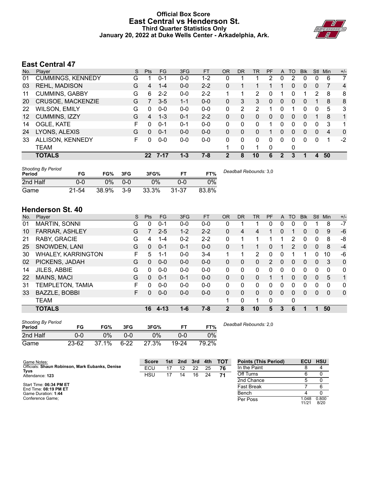#### **Official Box Score East Central vs Henderson St. Third Quarter Statistics Only January 20, 2022 at Duke Wells Center - Arkadelphia, Ark.**



### **East Central 47**

| No.               | Plaver                   | S | Pts             | <b>FG</b> | 3FG     | <b>FT</b> | <b>OR</b> | <b>DR</b> | <b>TR</b> | PF | A        | TO       | <b>Blk</b> | Stl      | Min            | $+/-$        |
|-------------------|--------------------------|---|-----------------|-----------|---------|-----------|-----------|-----------|-----------|----|----------|----------|------------|----------|----------------|--------------|
| 01                | <b>CUMMINGS, KENNEDY</b> | G |                 | $0 - 1$   | $0 - 0$ | $1 - 2$   | 0         |           |           | 2  | 0        | 2        | 0          | 0        | 6              | 7            |
| 03                | <b>REHL, MADISON</b>     | G | 4               | $1 - 4$   | $0 - 0$ | $2 - 2$   | $\Omega$  |           |           |    |          | 0        | $\Omega$   | $\Omega$ | 7              | 4            |
| 11                | <b>CUMMINS, GABBY</b>    | G | 6               | $2 - 2$   | $0 - 0$ | $2 - 2$   |           |           | 2         | 0  |          | $\Omega$ | 1          | 2        | 8              | 8            |
| 20                | <b>CRUSOE, MACKENZIE</b> | G |                 | $3 - 5$   | $1 - 1$ | $0 - 0$   | $\Omega$  | 3         | 3         | 0  | $\Omega$ | $\Omega$ | 0          |          | 8              | 8            |
| 22                | WILSON, EMILY            | G | <sup>0</sup>    | $0 - 0$   | $0 - 0$ | $0-0$     | 0         | 2         | 2         |    | 0        |          | 0          | 0        | 5              | 3            |
| $12 \overline{ }$ | CUMMINS, IZZY            | G | 4               | $1 - 3$   | $0 - 1$ | $2 - 2$   | $\Omega$  | 0         | 0         | 0  | 0        | $\Omega$ | 0          |          | 8              | $\mathbf{1}$ |
| 14                | OGLE, KATE               | F | 0               | $0 - 1$   | $0 - 1$ | $0-0$     | 0         | 0         | 0         |    | 0        | 0        | 0          | 0        | 3              | 1            |
| 24                | LYONS, ALEXIS            | G | $\Omega$        | $0 - 1$   | $0 - 0$ | $0 - 0$   | $\Omega$  | 0         | 0         |    | 0        | $\Omega$ | 0          | $\Omega$ | $\overline{4}$ | $\mathbf{0}$ |
| 33                | ALLISON, KENNEDY         | F | 0               | $0 - 0$   | $0 - 0$ | $0 - 0$   | $\Omega$  | 0         | $\Omega$  | 0  | 0        | 0        | 0          | $\Omega$ |                | $-2$         |
|                   | <b>TEAM</b>              |   |                 |           |         |           |           | 0         | 1         | 0  |          | 0        |            |          |                |              |
|                   | <b>TOTALS</b>            |   | 22 <sub>2</sub> | $7 - 17$  | $1 - 3$ | $7 - 8$   | 2         | 8         | 10        | 6  | 2        | 3        | 1          | 4        | 50             |              |

| <b>Shooting By Period</b><br>Period | FG    | FG%   | 3FG     | 3FG%  |           | FT%   | Deadball Rebounds: 3,0 |
|-------------------------------------|-------|-------|---------|-------|-----------|-------|------------------------|
| 2nd Half                            | 0-0   | 0%    | $0 - 0$ | 0%    | 0-0       | 0%    |                        |
| Game                                | 21-54 | 38.9% | $3-9$   | 33.3% | $31 - 37$ | 83.8% |                        |

### **Henderson St. 40**

| No. | Player                    | S  | Pts      | <b>FG</b> | 3FG     | <b>FT</b> | <b>OR</b>    | D <sub>R</sub> | TR       | <b>PF</b> | A | TO           | <b>Blk</b> | Stl      | Min      | $+/-$ |
|-----|---------------------------|----|----------|-----------|---------|-----------|--------------|----------------|----------|-----------|---|--------------|------------|----------|----------|-------|
| 01  | MARTIN, SONNI             | G  | $\Omega$ | $0 - 1$   | $0 - 0$ | $0-0$     | 0            |                |          | 0         | 0 | 0            | 0          |          | 8        | $-7$  |
| 10  | FARRAR, ASHLEY            | G  |          | $2 - 5$   | $1 - 2$ | $2 - 2$   | $\Omega$     | 4              | 4        |           | 0 |              | 0          | 0        | 9        | $-6$  |
| 21  | RABY, GRACIE              | G  | 4        | $1 - 4$   | $0 - 2$ | $2 - 2$   | $\Omega$     | 1              | 1        | 1         |   | 2            | 0          | 0        | 8        | -8    |
| 25  | SNOWDEN, LANI             | G  | 0        | $0 - 1$   | $0 - 1$ | $0 - 0$   | $\Omega$     |                | 1        | 0         |   | 2            | 0          | 0        | 8        | $-4$  |
| 30  | <b>WHALEY, KARRINGTON</b> | F  | 5        | 1-1       | $0 - 0$ | $3 - 4$   | 1            |                | 2        | $\Omega$  | 0 |              |            | 0        | 10       | -6    |
| 02  | PICKENS, JADAH            | G  | 0        | $0 - 0$   | $0 - 0$ | $0 - 0$   | $\Omega$     | 0              | 0        | 2         | 0 | 0            | $\Omega$   | 0        | 3        | 0     |
| 14  | JILES, ABBIE              | G  | 0        | $0 - 0$   | $0 - 0$ | $0-0$     | $\mathbf{0}$ | $\mathbf{0}$   | 0        | 0         | 0 | 0            | 0          | $\Omega$ | 0        | 0     |
| 22  | MAINS, MACI               | G  | 0        | $0 - 1$   | $0 - 1$ | $0 - 0$   | $\Omega$     | $\Omega$       | $\Omega$ | 1         |   | 0            | $\Omega$   | 0        | 5        | 1     |
| 31  | TEMPLETON, TAMIA          | F  | 0        | $0 - 0$   | $0 - 0$ | $0-0$     | $\Omega$     | 0              | 0        | $\Omega$  | 0 | 0            | 0          | $\Omega$ | 0        | 0     |
| 33  | BAZZLE, BOBBI             | F. | 0        | $0 - 0$   | $0 - 0$ | $0 - 0$   | $\Omega$     | $\Omega$       | $\Omega$ | $\Omega$  | 0 | 0            | 0          | 0        | $\Omega$ | 0     |
|     | TEAM                      |    |          |           |         |           | 1            | 0              | 1        | 0         |   | $\mathbf{0}$ |            |          |          |       |
|     | <b>TOTALS</b>             |    | 16       | $4 - 13$  | $1 - 6$ | $7 - 8$   | $\mathbf{2}$ | 8              | 10       | 5         | 3 | 6            |            |          | 50       |       |
|     |                           |    |          |           |         |           |              |                |          |           |   |              |            |          |          |       |

| <b>Shooting By Period</b><br>Period | FG        | FG%   | 3FG      | 3FG%  |         | FT%   | Deadball Rebounds: 2,0 |
|-------------------------------------|-----------|-------|----------|-------|---------|-------|------------------------|
| 2nd Half                            | 0-0       | ገ%    | $0 - 0$  | $0\%$ | 0-0     | 0%    |                        |
| Game                                | $23 - 62$ | 37.1% | $6 - 22$ | 27.3% | $19-24$ | 79.2% |                        |

| Game Notes:                                      | <b>Score</b> | 1st l | 2nd | 3rd | 4th | <b>TOT</b> | <b>Points (This Period)</b> |                | ECU HSU       |
|--------------------------------------------------|--------------|-------|-----|-----|-----|------------|-----------------------------|----------------|---------------|
| Officials: Shaun Robinson, Mark Eubanks, Denise  | ECU          |       |     | 22  | 25  | 76         | In the Paint                |                |               |
| Tyus<br>Attendance: 123                          | HSU          | 17    | 14  | 16  | 24  | 71         | Off Turns                   |                |               |
|                                                  |              |       |     |     |     |            | 2nd Chance                  |                |               |
| Start Time: 06:34 PM ET<br>End Time: 08:19 PM ET |              |       |     |     |     |            | <b>Fast Break</b>           |                |               |
| Game Duration: 1:44                              |              |       |     |     |     |            | Bench                       |                |               |
| Conference Game:                                 |              |       |     |     |     |            | Per Poss                    | 1.048<br>11/21 | 0.800<br>8/20 |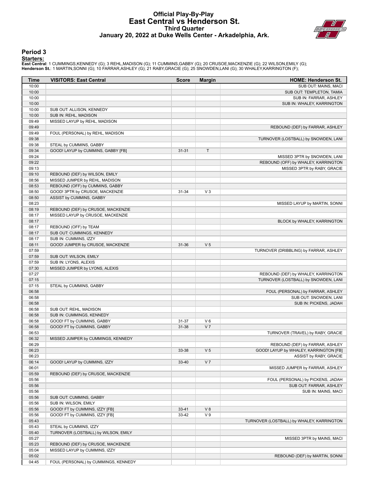#### **Official Play-By-Play East Central vs Henderson St. Third Quarter January 20, 2022 at Duke Wells Center - Arkadelphia, Ark.**



#### **Period 3**

#### **Starters:**

**East Centra**l: 1 CUMMINGS,KENNEDY (G); 3 REHL,MADISON (G); 11 CUMMINS,GABBY (G); 20 CRUSOE,MACKENZIE (G); 22 WILSON,EMILY (G);<br>**Henderson St.**: 1 MARTIN,SONNI (G); 10 FARRAR,ASHLEY (G); 21 RABY,GRACIE (G); 25 SNOWDEN,LANI

| Time           | <b>VISITORS: East Central</b>                                       | <b>Score</b> | <b>Margin</b>  | <b>HOME: Henderson St.</b>                                          |
|----------------|---------------------------------------------------------------------|--------------|----------------|---------------------------------------------------------------------|
| 10:00          |                                                                     |              |                | SUB OUT: MAINS, MACI                                                |
| 10:00          |                                                                     |              |                | SUB OUT: TEMPLETON, TAMIA                                           |
| 10:00          |                                                                     |              |                | SUB IN: FARRAR, ASHLEY                                              |
| 10:00          |                                                                     |              |                | SUB IN: WHALEY, KARRINGTON                                          |
| 10:00          | SUB OUT: ALLISON, KENNEDY                                           |              |                |                                                                     |
| 10:00          | SUB IN: REHL, MADISON                                               |              |                |                                                                     |
| 09:49          | MISSED LAYUP by REHL, MADISON                                       |              |                |                                                                     |
| 09:49          |                                                                     |              |                | REBOUND (DEF) by FARRAR, ASHLEY                                     |
| 09:49          | FOUL (PERSONAL) by REHL, MADISON                                    |              |                |                                                                     |
| 09:38          |                                                                     |              |                | TURNOVER (LOSTBALL) by SNOWDEN, LANI                                |
| 09:38          | STEAL by CUMMINS, GABBY                                             |              |                |                                                                     |
| 09:34          | GOOD! LAYUP by CUMMINS, GABBY [FB]                                  | $31 - 31$    | T              |                                                                     |
| 09:24<br>09:22 |                                                                     |              |                | MISSED 3PTR by SNOWDEN, LANI<br>REBOUND (OFF) by WHALEY, KARRINGTON |
| 09:13          |                                                                     |              |                | MISSED 3PTR by RABY, GRACIE                                         |
| 09:10          | REBOUND (DEF) by WILSON, EMILY                                      |              |                |                                                                     |
| 08:56          | MISSED JUMPER by REHL, MADISON                                      |              |                |                                                                     |
| 08:53          | REBOUND (OFF) by CUMMINS, GABBY                                     |              |                |                                                                     |
| 08:50          | GOOD! 3PTR by CRUSOE, MACKENZIE                                     | 31-34        | $V_3$          |                                                                     |
| 08:50          | ASSIST by CUMMINS, GABBY                                            |              |                |                                                                     |
| 08:23          |                                                                     |              |                | MISSED LAYUP by MARTIN, SONNI                                       |
| 08:19          | REBOUND (DEF) by CRUSOE, MACKENZIE                                  |              |                |                                                                     |
| 08:17          | MISSED LAYUP by CRUSOE, MACKENZIE                                   |              |                |                                                                     |
| 08:17          |                                                                     |              |                | BLOCK by WHALEY, KARRINGTON                                         |
| 08:17          | REBOUND (OFF) by TEAM                                               |              |                |                                                                     |
| 08:17          | SUB OUT: CUMMINGS, KENNEDY                                          |              |                |                                                                     |
| 08:17          | SUB IN: CUMMINS, IZZY                                               |              |                |                                                                     |
| 08:11          | GOOD! JUMPER by CRUSOE, MACKENZIE                                   | 31-36        | V <sub>5</sub> |                                                                     |
| 07:59          |                                                                     |              |                | TURNOVER (DRIBBLING) by FARRAR, ASHLEY                              |
| 07:59          | SUB OUT: WILSON, EMILY                                              |              |                |                                                                     |
| 07:59          | SUB IN: LYONS, ALEXIS                                               |              |                |                                                                     |
| 07:30          | MISSED JUMPER by LYONS, ALEXIS                                      |              |                |                                                                     |
| 07:27          |                                                                     |              |                | REBOUND (DEF) by WHALEY, KARRINGTON                                 |
| 07:15          |                                                                     |              |                | TURNOVER (LOSTBALL) by SNOWDEN, LANI                                |
| 07:15          | STEAL by CUMMINS, GABBY                                             |              |                |                                                                     |
| 06:58<br>06:58 |                                                                     |              |                | FOUL (PERSONAL) by FARRAR, ASHLEY<br>SUB OUT: SNOWDEN, LANI         |
| 06:58          |                                                                     |              |                | SUB IN: PICKENS, JADAH                                              |
| 06:58          | SUB OUT: REHL, MADISON                                              |              |                |                                                                     |
| 06:58          | SUB IN: CUMMINGS, KENNEDY                                           |              |                |                                                                     |
| 06:58          | GOOD! FT by CUMMINS, GABBY                                          | 31-37        | $V_6$          |                                                                     |
| 06:58          | GOOD! FT by CUMMINS, GABBY                                          | 31-38        | V <sub>7</sub> |                                                                     |
| 06:53          |                                                                     |              |                | TURNOVER (TRAVEL) by RABY, GRACIE                                   |
| 06:32          | MISSED JUMPER by CUMMINGS, KENNEDY                                  |              |                |                                                                     |
| 06:29          |                                                                     |              |                | REBOUND (DEF) by FARRAR, ASHLEY                                     |
| 06:23          |                                                                     | 33-38        | V <sub>5</sub> | GOOD! LAYUP by WHALEY, KARRINGTON [FB]                              |
| 06:23          |                                                                     |              |                | ASSIST by RABY, GRACIE                                              |
| 06:14          | GOOD! LAYUP by CUMMINS, IZZY                                        | 33-40        | V <sub>7</sub> |                                                                     |
| 06:01          |                                                                     |              |                | MISSED JUMPER by FARRAR, ASHLEY                                     |
| 05:59          | REBOUND (DEF) by CRUSOE, MACKENZIE                                  |              |                |                                                                     |
| 05:56          |                                                                     |              |                | FOUL (PERSONAL) by PICKENS, JADAH                                   |
| 05:56          |                                                                     |              |                | SUB OUT: FARRAR, ASHLEY                                             |
| 05:56          |                                                                     |              |                | SUB IN: MAINS, MACI                                                 |
| 05:56          | SUB OUT: CUMMINS, GABBY                                             |              |                |                                                                     |
| 05:56          | SUB IN: WILSON, EMILY                                               |              |                |                                                                     |
| 05:56          | GOOD! FT by CUMMINS, IZZY [FB]                                      | $33 - 41$    | V8             |                                                                     |
| 05:56          | GOOD! FT by CUMMINS, IZZY [FB]                                      | 33-42        | V <sub>9</sub> |                                                                     |
| 05:43          |                                                                     |              |                | TURNOVER (LOSTBALL) by WHALEY, KARRINGTON                           |
| 05:43          | STEAL by CUMMINS, IZZY                                              |              |                |                                                                     |
| 05:40          | TURNOVER (LOSTBALL) by WILSON, EMILY                                |              |                |                                                                     |
| 05:27          |                                                                     |              |                | MISSED 3PTR by MAINS, MACI                                          |
| 05:23<br>05:04 | REBOUND (DEF) by CRUSOE, MACKENZIE<br>MISSED LAYUP by CUMMINS, IZZY |              |                |                                                                     |
| 05:02          |                                                                     |              |                | REBOUND (DEF) by MARTIN, SONNI                                      |
| 04:45          | FOUL (PERSONAL) by CUMMINGS, KENNEDY                                |              |                |                                                                     |
|                |                                                                     |              |                |                                                                     |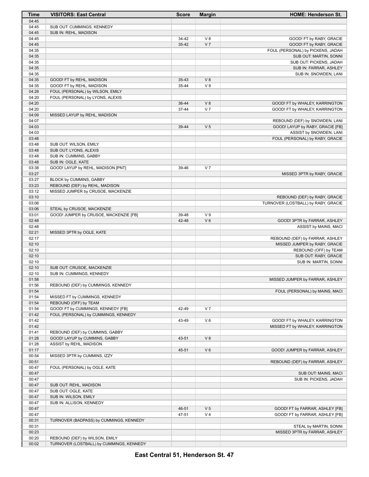| Time           | <b>VISITORS: East Central</b>            | <b>Score</b> | <b>Margin</b>  | <b>HOME: Henderson St.</b>          |
|----------------|------------------------------------------|--------------|----------------|-------------------------------------|
| 04:45          |                                          |              |                |                                     |
| 04:45          | SUB OUT: CUMMINGS, KENNEDY               |              |                |                                     |
| 04:45          | SUB IN: REHL, MADISON                    |              |                |                                     |
| 04:45          |                                          | 34-42        | $V_8$          | GOOD! FT by RABY, GRACIE            |
| 04:45          |                                          | $35 - 42$    | V <sub>7</sub> | GOOD! FT by RABY, GRACIE            |
| 04:35          |                                          |              |                | FOUL (PERSONAL) by PICKENS, JADAH   |
| 04:35          |                                          |              |                | SUB OUT: MARTIN, SONNI              |
| 04:35          |                                          |              |                | SUB OUT: PICKENS, JADAH             |
| 04:35          |                                          |              |                | SUB IN: FARRAR, ASHLEY              |
| 04:35          |                                          |              |                | SUB IN: SNOWDEN, LANI               |
| 04:35          | GOOD! FT by REHL, MADISON                | 35-43        | V8             |                                     |
| 04:35          | GOOD! FT by REHL, MADISON                | 35-44        | V <sub>9</sub> |                                     |
| 04:28          | FOUL (PERSONAL) by WILSON, EMILY         |              |                |                                     |
| 04:20          | FOUL (PERSONAL) by LYONS, ALEXIS         |              |                |                                     |
| 04:20          |                                          | 36-44        | V8             | GOOD! FT by WHALEY, KARRINGTON      |
| 04:20          |                                          | 37-44        | V <sub>7</sub> | GOOD! FT by WHALEY, KARRINGTON      |
| 04:09          | MISSED LAYUP by REHL, MADISON            |              |                |                                     |
| 04:07          |                                          |              |                | REBOUND (DEF) by SNOWDEN, LANI      |
| 04:03          |                                          | 39-44        | V <sub>5</sub> | GOOD! LAYUP by RABY, GRACIE [FB]    |
| 04:03          |                                          |              |                | ASSIST by SNOWDEN, LANI             |
| 03:48          |                                          |              |                | FOUL (PERSONAL) by RABY, GRACIE     |
| 03:48          | SUB OUT: WILSON, EMILY                   |              |                |                                     |
| 03:48          | SUB OUT: LYONS, ALEXIS                   |              |                |                                     |
| 03:48          | SUB IN: CUMMINS, GABBY                   |              |                |                                     |
| 03:48          | SUB IN: OGLE, KATE                       |              |                |                                     |
| 03:38          | GOOD! LAYUP by REHL, MADISON [PNT]       | 39-46        | V <sub>7</sub> |                                     |
| 03:27          |                                          |              |                | MISSED 3PTR by RABY, GRACIE         |
| 03:27          | BLOCK by CUMMINS, GABBY                  |              |                |                                     |
| 03:23          | REBOUND (DEF) by REHL, MADISON           |              |                |                                     |
| 03:12          | MISSED JUMPER by CRUSOE, MACKENZIE       |              |                |                                     |
| 03:10          |                                          |              |                | REBOUND (DEF) by RABY, GRACIE       |
| 03:06          |                                          |              |                | TURNOVER (LOSTBALL) by RABY, GRACIE |
| 03:06          | STEAL by CRUSOE, MACKENZIE               |              |                |                                     |
| 03:01          |                                          | 39-48        | V <sub>9</sub> |                                     |
| 02:48          | GOOD! JUMPER by CRUSOE, MACKENZIE [FB]   | 42-48        | $V_6$          |                                     |
|                |                                          |              |                | GOOD! 3PTR by FARRAR, ASHLEY        |
| 02:48<br>02:21 |                                          |              |                | ASSIST by MAINS, MACI               |
| 02:17          | MISSED 3PTR by OGLE, KATE                |              |                |                                     |
| 02:10          |                                          |              |                | REBOUND (DEF) by FARRAR, ASHLEY     |
|                |                                          |              |                | MISSED JUMPER by RABY, GRACIE       |
| 02:10          |                                          |              |                | REBOUND (OFF) by TEAM               |
| 02:10          |                                          |              |                | SUB OUT: RABY, GRACIE               |
| 02:10          |                                          |              |                | SUB IN: MARTIN, SONNI               |
| 02:10          | SUB OUT: CRUSOE, MACKENZIE               |              |                |                                     |
| 02:10          | SUB IN: CUMMINGS, KENNEDY                |              |                |                                     |
| 01:58          |                                          |              |                | MISSED JUMPER by FARRAR, ASHLEY     |
| 01:56          | REBOUND (DEF) by CUMMINGS, KENNEDY       |              |                |                                     |
| 01:54          |                                          |              |                | FOUL (PERSONAL) by MAINS, MACI      |
| 01:54          | MISSED FT by CUMMINGS, KENNEDY           |              |                |                                     |
| 01:54          | REBOUND (OFF) by TEAM                    |              |                |                                     |
| 01:54          | GOOD! FT by CUMMINGS, KENNEDY [FB]       | 42-49        | V <sub>7</sub> |                                     |
| 01:42          | FOUL (PERSONAL) by CUMMINGS, KENNEDY     |              |                |                                     |
| 01:42          |                                          | 43-49        | V6             | GOOD! FT by WHALEY, KARRINGTON      |
| 01:42          |                                          |              |                | MISSED FT by WHALEY, KARRINGTON     |
| 01:41          | REBOUND (DEF) by CUMMINS, GABBY          |              |                |                                     |
| 01:28          | GOOD! LAYUP by CUMMINS, GABBY            | 43-51        | V8             |                                     |
| 01:28          | ASSIST by REHL, MADISON                  |              |                |                                     |
| 01:17          |                                          | 45-51        | $V_6$          | GOOD! JUMPER by FARRAR, ASHLEY      |
| 00:54          | MISSED 3PTR by CUMMINS, IZZY             |              |                |                                     |
| 00:51          |                                          |              |                | REBOUND (DEF) by FARRAR, ASHLEY     |
| 00:47          | FOUL (PERSONAL) by OGLE, KATE            |              |                |                                     |
| 00:47          |                                          |              |                | SUB OUT: MAINS, MACI                |
| 00:47          |                                          |              |                | SUB IN: PICKENS, JADAH              |
| 00:47          | SUB OUT: REHL, MADISON                   |              |                |                                     |
| 00:47          | SUB OUT: OGLE, KATE                      |              |                |                                     |
| 00:47          | SUB IN: WILSON, EMILY                    |              |                |                                     |
| 00:47          | SUB IN: ALLISON, KENNEDY                 |              |                |                                     |
| 00:47          |                                          | 46-51        | V <sub>5</sub> | GOOD! FT by FARRAR, ASHLEY [FB]     |
| 00:47          |                                          | 47-51        | V <sub>4</sub> | GOOD! FT by FARRAR, ASHLEY [FB]     |
| 00:31          | TURNOVER (BADPASS) by CUMMINGS, KENNEDY  |              |                |                                     |
| 00:31          |                                          |              |                | STEAL by MARTIN, SONNI              |
| 00:23          |                                          |              |                | MISSED 3PTR by FARRAR, ASHLEY       |
| 00:20          | REBOUND (DEF) by WILSON, EMILY           |              |                |                                     |
| 00:02          | TURNOVER (LOSTBALL) by CUMMINGS, KENNEDY |              |                |                                     |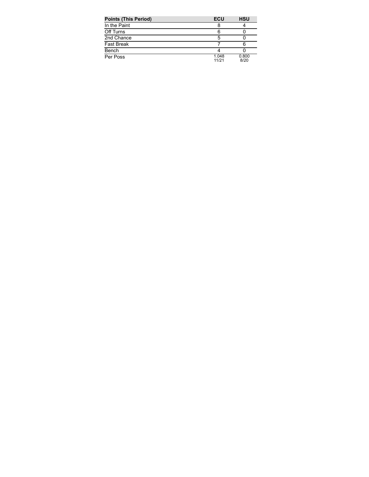| <b>Points (This Period)</b> | ECU            | <b>HSU</b>    |
|-----------------------------|----------------|---------------|
| In the Paint                |                |               |
| Off Turns                   |                |               |
| 2nd Chance                  |                |               |
| <b>Fast Break</b>           |                |               |
| Bench                       |                |               |
| Per Poss                    | 1.048<br>11/21 | 0.800<br>8/20 |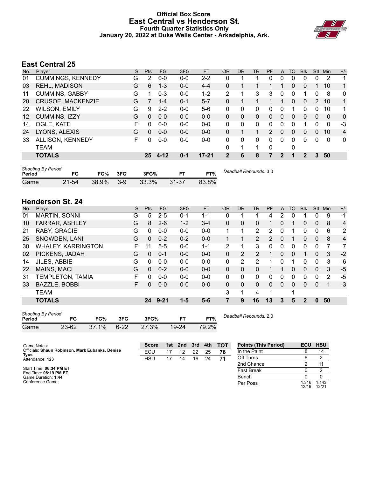#### **Official Box Score East Central vs Henderson St. Fourth Quarter Statistics Only January 20, 2022 at Duke Wells Center - Arkadelphia, Ark.**



### **East Central 25**

| No.               | Plaver                   | S | <b>Pts</b> | <b>FG</b> | 3FG     | <b>FT</b> | <b>OR</b>     | DR | TR | PF            | A            | TO       | <b>B</b> lk | Stl           | Min         | $+/-$        |
|-------------------|--------------------------|---|------------|-----------|---------|-----------|---------------|----|----|---------------|--------------|----------|-------------|---------------|-------------|--------------|
| 01                | <b>CUMMINGS, KENNEDY</b> | G | 2          | $0 - 0$   | $0-0$   | $2 - 2$   | 0             |    |    | 0             | 0            | 0        | 0           | 0             | 2           | 1            |
| 03                | <b>REHL, MADISON</b>     | G | 6          | $1 - 3$   | $0 - 0$ | $4 - 4$   | 0             |    |    |               |              | $\Omega$ | 0           |               | 10          | 1            |
| 11                | <b>CUMMINS, GABBY</b>    | G |            | $0 - 3$   | $0 - 0$ | $1 - 2$   | $\mathcal{P}$ |    | 3  | 3             | 0            | $\Omega$ | 1           | 0             | 8           | $\mathbf{0}$ |
| 20                | CRUSOE, MACKENZIE        | G |            | $1 - 4$   | $0 - 1$ | $5 - 7$   | 0             |    |    |               |              | $\Omega$ | $\Omega$    | $\mathcal{P}$ | 10          | $\mathbf{1}$ |
| 22                | <b>WILSON, EMILY</b>     | G | 9          | $2 - 2$   | $0 - 0$ | $5-6$     | 0             | 0  | 0  | 0             | 0            |          | 0           | $\Omega$      | 10          | 1            |
| $12 \overline{ }$ | CUMMINS, IZZY            | G | 0          | $0 - 0$   | $0 - 0$ | $0 - 0$   | 0             | 0  | 0  | 0             | $\Omega$     | 0        | 0           | 0             | 0           | $\mathbf{0}$ |
| 14                | OGLE, KATE               | F | O          | $0 - 0$   | $0 - 0$ | $0 - 0$   | 0             | 0  | 0  | 0             | 0            | 0        | 1           | 0             | $\Omega$    | -3           |
| 24                | LYONS, ALEXIS            | G | 0          | $0 - 0$   | $0 - 0$ | $0 - 0$   | $\Omega$      |    | 1  | $\mathcal{P}$ | $\mathbf{0}$ | 0        | 0           | 0             | 10          | 4            |
| 33                | ALLISON, KENNEDY         | F | O          | $0-0$     | $0-0$   | $0 - 0$   | 0             | 0  | 0  | 0             | 0            | 0        | 0           | 0             | $\mathbf 0$ | $\mathbf{0}$ |
|                   | TEAM                     |   |            |           |         |           | 0             |    | 1  | 0             |              | 0        |             |               |             |              |
|                   | <b>TOTALS</b>            |   | 25         | $4 - 12$  | $0 - 1$ | $17 - 21$ | 2             | 6  | 8  |               | 2            |          | 2           | 3             | 50          |              |

| <b>Shooting By Period</b><br>Period | FG        | FG%   | 3FG   | 3FG%     |           | FT%   | Deadball Rebounds: 3,0 |
|-------------------------------------|-----------|-------|-------|----------|-----------|-------|------------------------|
| Game                                | $21 - 54$ | 38.9% | $3-9$ | $33.3\%$ | $31 - 37$ | 83.8% |                        |

### **Henderson St. 24**

| No. | Plaver                    | S  | Pts          | <b>FG</b> | 3FG     | <b>FT</b> | <b>OR</b>    | <b>DR</b> | TR             | PF | A            | TO           | <b>B</b> lk    | Stl          | Min | $+/-$          |
|-----|---------------------------|----|--------------|-----------|---------|-----------|--------------|-----------|----------------|----|--------------|--------------|----------------|--------------|-----|----------------|
| 01  | MARTIN, SONNI             | G  | 5            | $2 - 5$   | $0 - 1$ | 1-1       | 0            |           |                | 4  | 2            |              |                | 0            | 9   | $-1$           |
| 10  | <b>FARRAR, ASHLEY</b>     | G  | 8            | $2 - 6$   | $1 - 2$ | $3 - 4$   | $\Omega$     | 0         | 0              |    | 0            |              | 0              | 0            | 8   | 4              |
| 21  | RABY, GRACIE              | G  | 0            | $0 - 0$   | $0 - 0$ | $0 - 0$   | 1            |           | 2              | 2  | 0            |              | 0              | $\Omega$     | 6   | 2              |
| 25  | SNOWDEN, LANI             | G  | 0            | $0 - 2$   | $0 - 2$ | $0 - 0$   |              |           | $\overline{2}$ | 2  | $\mathbf{0}$ |              | 0              | $\Omega$     | 8   | $\overline{4}$ |
| 30  | <b>WHALEY, KARRINGTON</b> | F. | 11           | $5-5$     | $0 - 0$ | $1 - 1$   | 2            |           | 3              | 0  | 0            | 0            | 0              | 0            |     | 7              |
| 02  | PICKENS, JADAH            | G  | 0            | $0 - 1$   | $0 - 0$ | $0 - 0$   | 0            | 2         | $\overline{2}$ |    | 0            | $\Omega$     |                | $\Omega$     | 3   | $-2$           |
| 14  | JILES, ABBIE              | G  | 0            | $0 - 0$   | $0 - 0$ | $0 - 0$   | 0            | 2         | 2              |    | 0            |              | 0              | $\Omega$     | 3   | -6             |
| 22  | MAINS, MACI               | G  | $\Omega$     | $0 - 2$   | $0 - 0$ | $0 - 0$   | $\mathbf{0}$ | 0         | 0              |    |              | 0            | 0              | $\Omega$     | 3   | $-5$           |
| 31  | TEMPLETON, TAMIA          | F  | <sup>0</sup> | $0 - 0$   | $0 - 0$ | $0 - 0$   | 0            | 0         | 0              | 0  | 0            | <sup>0</sup> | 0              | $\Omega$     | 2   | -5             |
| 33  | <b>BAZZLE, BOBBI</b>      | F. | 0            | $0 - 0$   | $0 - 0$ | $0-0$     | $\Omega$     | 0         | 0              | 0  | 0            | 0            | 0              | $\mathbf{0}$ |     | $-3$           |
|     | <b>TEAM</b>               |    |              |           |         |           | 3            |           | 4              | 1  |              | ٠            |                |              |     |                |
|     | <b>TOTALS</b>             |    | 24           | $9 - 21$  | $1 - 5$ | $5 - 6$   |              | 9         | 16             | 13 | 3            | 5            | $\overline{2}$ | 0            | 50  |                |

| <b>Shooting By Period</b><br>De |           |       |          |          |           |       |  |  |  |  |  |
|---------------------------------|-----------|-------|----------|----------|-----------|-------|--|--|--|--|--|
| Period                          | FG        | FG%   | 3FG      | 3FG%     | FТ        | FT%   |  |  |  |  |  |
| Game                            | $23 - 62$ | 37.1% | $6 - 22$ | $27.3\%$ | $19 - 24$ | 79.2% |  |  |  |  |  |

*Deadball Rebounds:* 2,0

| Game Notes:                                      | <b>Score</b> | 1st l | 2nd | 3rd | 4th | <b>- тот</b> | <b>Points (This Period)</b> | ECU HSU       |                |
|--------------------------------------------------|--------------|-------|-----|-----|-----|--------------|-----------------------------|---------------|----------------|
| Officials: Shaun Robinson, Mark Eubanks, Denise  | ECL          |       |     | 22  | 25  |              | In the Paint                |               | 14             |
| Tyus<br>Attendance: 123                          | <b>HSU</b>   |       | 14  | 16  | 24  |              | Off Turns                   |               |                |
|                                                  |              |       |     |     |     |              | 2nd Chance                  |               |                |
| Start Time: 06:34 PM ET<br>End Time: 08:19 PM ET |              |       |     |     |     |              | <b>Fast Break</b>           |               |                |
| Game Duration: 1:44                              |              |       |     |     |     |              | Bench                       |               |                |
| Conference Game;                                 |              |       |     |     |     |              | Per Poss                    | .316<br>13/19 | 1.143<br>12/21 |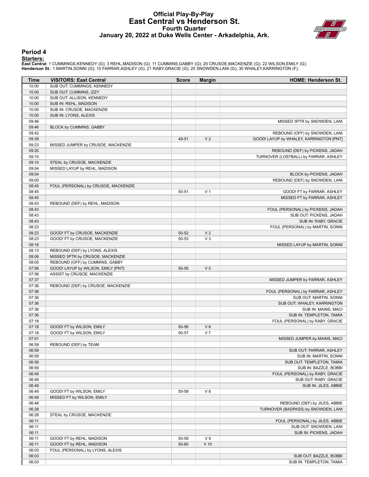#### **Official Play-By-Play East Central vs Henderson St. Fourth Quarter January 20, 2022 at Duke Wells Center - Arkadelphia, Ark.**



#### **Period 4**

#### **Starters:**

**East Centra**l: 1 CUMMINGS,KENNEDY (G); 3 REHL,MADISON (G); 11 CUMMINS,GABBY (G); 20 CRUSOE,MACKENZIE (G); 22 WILSON,EMILY (G);<br>**Henderson St.**: 1 MARTIN,SONNI (G); 10 FARRAR,ASHLEY (G); 21 RABY,GRACIE (G); 25 SNOWDEN,LANI

| Time           | <b>VISITORS: East Central</b>                                      | <b>Score</b> | <b>Margin</b>  | <b>HOME: Henderson St.</b>                         |
|----------------|--------------------------------------------------------------------|--------------|----------------|----------------------------------------------------|
| 10:00          | SUB OUT: CUMMINGS, KENNEDY                                         |              |                |                                                    |
| 10:00          | SUB OUT: CUMMINS, IZZY                                             |              |                |                                                    |
| 10:00          | SUB OUT: ALLISON, KENNEDY                                          |              |                |                                                    |
| 10:00          | SUB IN: REHL, MADISON                                              |              |                |                                                    |
| 10:00          | SUB IN: CRUSOE, MACKENZIE                                          |              |                |                                                    |
| 10:00          | SUB IN: LYONS, ALEXIS                                              |              |                |                                                    |
| 09:46          |                                                                    |              |                | MISSED 3PTR by SNOWDEN, LANI                       |
| 09:46          | BLOCK by CUMMINS, GABBY                                            |              |                |                                                    |
| 09:42          |                                                                    | 49-51        | V <sub>2</sub> | REBOUND (OFF) by SNOWDEN, LANI                     |
| 09:39<br>09:23 | MISSED JUMPER by CRUSOE, MACKENZIE                                 |              |                | GOOD! LAYUP by WHALEY, KARRINGTON [PNT]            |
| 09:20          |                                                                    |              |                | REBOUND (DEF) by PICKENS, JADAH                    |
| 09:10          |                                                                    |              |                | TURNOVER (LOSTBALL) by FARRAR, ASHLEY              |
| 09:10          | STEAL by CRUSOE, MACKENZIE                                         |              |                |                                                    |
| 09:04          | MISSED LAYUP by REHL, MADISON                                      |              |                |                                                    |
| 09:04          |                                                                    |              |                | BLOCK by PICKENS, JADAH                            |
| 09:00          |                                                                    |              |                | REBOUND (DEF) by SNOWDEN, LANI                     |
| 08:45          | FOUL (PERSONAL) by CRUSOE, MACKENZIE                               |              |                |                                                    |
| 08:45          |                                                                    | 50-51        | V <sub>1</sub> | GOOD! FT by FARRAR, ASHLEY                         |
| 08:45          |                                                                    |              |                | MISSED FT by FARRAR, ASHLEY                        |
| 08:43          | REBOUND (DEF) by REHL, MADISON                                     |              |                |                                                    |
| 08:43          |                                                                    |              |                | FOUL (PERSONAL) by PICKENS, JADAH                  |
| 08:43          |                                                                    |              |                | SUB OUT: PICKENS, JADAH                            |
| 08:43          |                                                                    |              |                | SUB IN: RABY, GRACIE                               |
| 08:23          |                                                                    |              |                | FOUL (PERSONAL) by MARTIN, SONNI                   |
| 08:23          | GOOD! FT by CRUSOE, MACKENZIE                                      | $50 - 52$    | V <sub>2</sub> |                                                    |
| 08:23          | GOOD! FT by CRUSOE, MACKENZIE                                      | 50-53        | $V_3$          |                                                    |
| 08:16          |                                                                    |              |                | MISSED LAYUP by MARTIN, SONNI                      |
| 08:13<br>08:06 | REBOUND (DEF) by LYONS, ALEXIS<br>MISSED 3PTR by CRUSOE, MACKENZIE |              |                |                                                    |
| 08:05          | REBOUND (OFF) by CUMMINS, GABBY                                    |              |                |                                                    |
| 07:56          | GOOD! LAYUP by WILSON, EMILY [PNT]                                 | 50-55        | V <sub>5</sub> |                                                    |
| 07:56          | ASSIST by CRUSOE, MACKENZIE                                        |              |                |                                                    |
| 07:37          |                                                                    |              |                | MISSED JUMPER by FARRAR, ASHLEY                    |
| 07:36          | REBOUND (DEF) by CRUSOE, MACKENZIE                                 |              |                |                                                    |
| 07:36          |                                                                    |              |                | FOUL (PERSONAL) by FARRAR, ASHLEY                  |
| 07:36          |                                                                    |              |                | SUB OUT: MARTIN, SONNI                             |
| 07:36          |                                                                    |              |                | SUB OUT: WHALEY, KARRINGTON                        |
| 07:36          |                                                                    |              |                | SUB IN: MAINS, MACI                                |
| 07:36          |                                                                    |              |                | SUB IN: TEMPLETON, TAMIA                           |
| 07:18          |                                                                    |              |                | FOUL (PERSONAL) by RABY, GRACIE                    |
| 07:18          | GOOD! FT by WILSON, EMILY                                          | 50-56        | $V_6$          |                                                    |
| 07:18          | GOOD! FT by WILSON, EMILY                                          | 50-57        | V <sub>7</sub> |                                                    |
| 07:01          |                                                                    |              |                | MISSED JUMPER by MAINS, MACI                       |
| 06:59          | REBOUND (DEF) by TEAM                                              |              |                |                                                    |
| 06:59          |                                                                    |              |                | SUB OUT: FARRAR, ASHLEY                            |
| 06:59          |                                                                    |              |                | SUB IN: MARTIN, SONNI                              |
| 06:59          |                                                                    |              |                | SUB OUT: TEMPLETON, TAMIA<br>SUB IN: BAZZLE, BOBBI |
| 06:59<br>06:49 |                                                                    |              |                | FOUL (PERSONAL) by RABY, GRACIE                    |
| 06:49          |                                                                    |              |                | SUB OUT: RABY, GRACIE                              |
| 06:49          |                                                                    |              |                | SUB IN: JILES, ABBIE                               |
| 06:49          | GOOD! FT by WILSON, EMILY                                          | 50-58        | V8             |                                                    |
| 06:49          | MISSED FT by WILSON, EMILY                                         |              |                |                                                    |
| 06:48          |                                                                    |              |                | REBOUND (DEF) by JILES, ABBIE                      |
| 06:28          |                                                                    |              |                | TURNOVER (BADPASS) by SNOWDEN, LANI                |
| 06:28          | STEAL by CRUSOE, MACKENZIE                                         |              |                |                                                    |
| 06:11          |                                                                    |              |                | FOUL (PERSONAL) by JILES, ABBIE                    |
| 06:11          |                                                                    |              |                | SUB OUT: SNOWDEN, LANI                             |
| 06:11          |                                                                    |              |                | SUB IN: PICKENS, JADAH                             |
| 06:11          | GOOD! FT by REHL, MADISON                                          | 50-59        | V <sub>9</sub> |                                                    |
| 06:11          | GOOD! FT by REHL, MADISON                                          | 50-60        | $V$ 10         |                                                    |
| 06:03          | FOUL (PERSONAL) by LYONS, ALEXIS                                   |              |                |                                                    |
| 06:03          |                                                                    |              |                | SUB OUT: BAZZLE, BOBBI                             |
| 06:03          |                                                                    |              |                | SUB IN: TEMPLETON, TAMIA                           |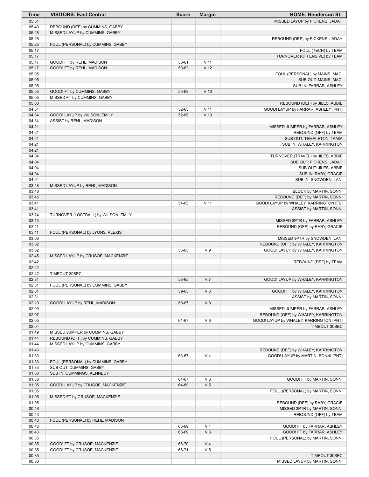| Time           | <b>VISITORS: East Central</b>        | <b>Score</b> | <b>Margin</b>   | <b>HOME: Henderson St.</b>                               |
|----------------|--------------------------------------|--------------|-----------------|----------------------------------------------------------|
| 05:51          |                                      |              |                 | MISSED LAYUP by PICKENS, JADAH                           |
| 05:49          | REBOUND (DEF) by CUMMINS, GABBY      |              |                 |                                                          |
| 05:28          | MISSED LAYUP by CUMMINS, GABBY       |              |                 |                                                          |
| 05:26          |                                      |              |                 | REBOUND (DEF) by PICKENS, JADAH                          |
| 05:25          | FOUL (PERSONAL) by CUMMINS, GABBY    |              |                 |                                                          |
| 05:17          |                                      |              |                 | FOUL (TECH) by TEAM                                      |
| 05:17          |                                      |              |                 | TURNOVER (OFFENSIVE) by TEAM                             |
| 05:17          | GOOD! FT by REHL, MADISON            | 50-61        | $V$ 11          |                                                          |
| 05:17          | GOOD! FT by REHL, MADISON            | 50-62        | V <sub>12</sub> |                                                          |
| 05:05          |                                      |              |                 | FOUL (PERSONAL) by MAINS, MACI                           |
| 05:05          |                                      |              |                 | SUB OUT: MAINS, MACI                                     |
| 05:05          |                                      |              |                 | SUB IN: FARRAR, ASHLEY                                   |
| 05:05          | GOOD! FT by CUMMINS, GABBY           | 50-63        | V <sub>13</sub> |                                                          |
| 05:05          | MISSED FT by CUMMINS, GABBY          |              |                 |                                                          |
| 05:03          |                                      |              |                 | REBOUND (DEF) by JILES, ABBIE                            |
| 04:54          |                                      | 52-63        | $V$ 11          | GOOD! LAYUP by FARRAR, ASHLEY [PNT]                      |
| 04:34          | GOOD! LAYUP by WILSON, EMILY         | 52-65        | V <sub>13</sub> |                                                          |
| 04:34<br>04:21 | ASSIST by REHL, MADISON              |              |                 |                                                          |
| 04:21          |                                      |              |                 | MISSED JUMPER by FARRAR, ASHLEY<br>REBOUND (OFF) by TEAM |
| 04:21          |                                      |              |                 | SUB OUT: TEMPLETON, TAMIA                                |
| 04:21          |                                      |              |                 | SUB IN: WHALEY, KARRINGTON                               |
| 04:21          |                                      |              |                 |                                                          |
| 04:04          |                                      |              |                 | TURNOVER (TRAVEL) by JILES, ABBIE                        |
| 04:04          |                                      |              |                 | SUB OUT: PICKENS, JADAH                                  |
| 04:04          |                                      |              |                 | SUB OUT: JILES, ABBIE                                    |
| 04:04          |                                      |              |                 | SUB IN: RABY, GRACIE                                     |
| 04:04          |                                      |              |                 | SUB IN: SNOWDEN, LANI                                    |
| 03:48          | MISSED LAYUP by REHL, MADISON        |              |                 |                                                          |
| 03:48          |                                      |              |                 | BLOCK by MARTIN, SONNI                                   |
| 03:45          |                                      |              |                 | REBOUND (DEF) by MARTIN, SONNI                           |
| 03:41          |                                      | 54-65        | $V$ 11          | GOOD! LAYUP by WHALEY, KARRINGTON [FB]                   |
| 03:41          |                                      |              |                 | ASSIST by MARTIN, SONNI                                  |
| 03:24          | TURNOVER (LOSTBALL) by WILSON, EMILY |              |                 |                                                          |
| 03:13          |                                      |              |                 | MISSED 3PTR by FARRAR, ASHLEY                            |
| 03:11          |                                      |              |                 | REBOUND (OFF) by RABY, GRACIE                            |
| 03:11          | FOUL (PERSONAL) by LYONS, ALEXIS     |              |                 |                                                          |
| 03:06          |                                      |              |                 | MISSED 3PTR by SNOWDEN, LANI                             |
| 03:02          |                                      |              |                 | REBOUND (OFF) by WHALEY, KARRINGTON                      |
| 03:02          |                                      | 56-65        | V <sub>9</sub>  | GOOD! LAYUP by WHALEY, KARRINGTON                        |
| 02:45          | MISSED LAYUP by CRUSOE, MACKENZIE    |              |                 |                                                          |
| 02:42          |                                      |              |                 | REBOUND (DEF) by TEAM                                    |
| 02:42          |                                      |              |                 |                                                          |
| 02:42          | TIMEOUT 30SEC                        |              |                 |                                                          |
| 02:31          |                                      | 58-65        | V <sub>7</sub>  | GOOD! LAYUP by WHALEY, KARRINGTON                        |
| 02:31          | FOUL (PERSONAL) by CUMMINS, GABBY    |              |                 |                                                          |
| 02:31          |                                      | 59-65        | $V_6$           | GOOD! FT by WHALEY, KARRINGTON                           |
| 02:31          | GOOD! LAYUP by REHL, MADISON         |              | V8              | ASSIST by MARTIN, SONNI                                  |
| 02:19<br>02:09 |                                      | 59-67        |                 | MISSED JUMPER by FARRAR, ASHLEY                          |
| 02:07          |                                      |              |                 | REBOUND (OFF) by WHALEY, KARRINGTON                      |
| 02:05          |                                      | 61-67        | $V_6$           | GOOD! LAYUP by WHALEY, KARRINGTON [PNT]                  |
| 02:04          |                                      |              |                 | TIMEOUT 30SEC                                            |
| 01:49          | MISSED JUMPER by CUMMINS, GABBY      |              |                 |                                                          |
| 01:44          | REBOUND (OFF) by CUMMINS, GABBY      |              |                 |                                                          |
| 01:44          | MISSED LAYUP by CUMMINS, GABBY       |              |                 |                                                          |
| 01:43          |                                      |              |                 | REBOUND (DEF) by WHALEY, KARRINGTON                      |
| 01:33          |                                      | 63-67        | V <sub>4</sub>  | GOOD! LAYUP by MARTIN, SONNI [PNT]                       |
| 01:33          | FOUL (PERSONAL) by CUMMINS, GABBY    |              |                 |                                                          |
| 01:33          | SUB OUT: CUMMINS, GABBY              |              |                 |                                                          |
| 01:33          | SUB IN: CUMMINGS, KENNEDY            |              |                 |                                                          |
| 01:33          |                                      | 64-67        | V <sub>3</sub>  | GOOD! FT by MARTIN, SONNI                                |
| 01:05          | GOOD! LAYUP by CRUSOE, MACKENZIE     | 64-69        | V <sub>5</sub>  |                                                          |
| 01:05          |                                      |              |                 | FOUL (PERSONAL) by MARTIN, SONNI                         |
| 01:05          | MISSED FT by CRUSOE, MACKENZIE       |              |                 |                                                          |
| 01:05          |                                      |              |                 | REBOUND (DEF) by RABY, GRACIE                            |
| 00:46          |                                      |              |                 | MISSED 3PTR by MARTIN, SONNI                             |
| 00:43          |                                      |              |                 | REBOUND (OFF) by TEAM                                    |
| 00:43          | FOUL (PERSONAL) by REHL, MADISON     |              |                 |                                                          |
| 00:43          |                                      | 65-69        | V <sub>4</sub>  | GOOD! FT by FARRAR, ASHLEY                               |
| 00:43          |                                      | 66-69        | $V_3$           | GOOD! FT by FARRAR, ASHLEY                               |
| 00:35          |                                      |              |                 | FOUL (PERSONAL) by MARTIN, SONNI                         |
| 00:35          | GOOD! FT by CRUSOE, MACKENZIE        | 66-70        | V <sub>4</sub>  |                                                          |
| 00:35          | GOOD! FT by CRUSOE, MACKENZIE        | 66-71        | V <sub>5</sub>  |                                                          |
| 00:35          |                                      |              |                 | TIMEOUT 30SEC                                            |
| 00:30          |                                      |              |                 | MISSED LAYUP by MARTIN, SONNI                            |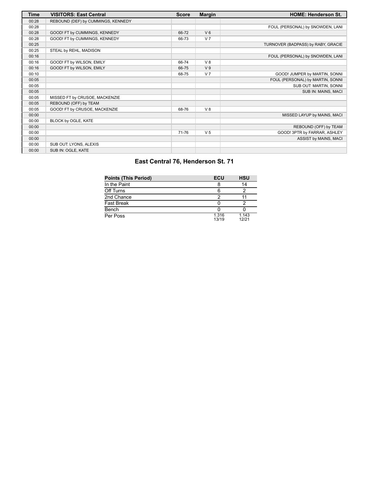| Time  | <b>VISITORS: East Central</b>      | <b>Score</b> | <b>Margin</b>  | <b>HOME: Henderson St.</b>         |
|-------|------------------------------------|--------------|----------------|------------------------------------|
| 00:28 | REBOUND (DEF) by CUMMINGS, KENNEDY |              |                |                                    |
| 00:28 |                                    |              |                | FOUL (PERSONAL) by SNOWDEN, LANI   |
| 00:28 | GOOD! FT by CUMMINGS, KENNEDY      | 66-72        | $V_6$          |                                    |
| 00:28 | GOOD! FT by CUMMINGS, KENNEDY      | 66-73        | V <sub>7</sub> |                                    |
| 00:25 |                                    |              |                | TURNOVER (BADPASS) by RABY, GRACIE |
| 00:25 | STEAL by REHL, MADISON             |              |                |                                    |
| 00:16 |                                    |              |                | FOUL (PERSONAL) by SNOWDEN, LANI   |
| 00:16 | GOOD! FT by WILSON, EMILY          | 66-74        | $V_8$          |                                    |
| 00:16 | GOOD! FT by WILSON, EMILY          | 66-75        | V <sub>9</sub> |                                    |
| 00:10 |                                    | 68-75        | V <sub>7</sub> | GOOD! JUMPER by MARTIN, SONNI      |
| 00:05 |                                    |              |                | FOUL (PERSONAL) by MARTIN, SONNI   |
| 00:05 |                                    |              |                | SUB OUT: MARTIN, SONNI             |
| 00:05 |                                    |              |                | SUB IN: MAINS, MACI                |
| 00:05 | MISSED FT by CRUSOE, MACKENZIE     |              |                |                                    |
| 00:05 | REBOUND (OFF) by TEAM              |              |                |                                    |
| 00:05 | GOOD! FT by CRUSOE, MACKENZIE      | 68-76        | V8             |                                    |
| 00:00 |                                    |              |                | MISSED LAYUP by MAINS, MACI        |
| 00:00 | BLOCK by OGLE, KATE                |              |                |                                    |
| 00:00 |                                    |              |                | REBOUND (OFF) by TEAM              |
| 00:00 |                                    | 71-76        | V <sub>5</sub> | GOOD! 3PTR by FARRAR, ASHLEY       |
| 00:00 |                                    |              |                | ASSIST by MAINS, MACI              |
| 00:00 | SUB OUT: LYONS, ALEXIS             |              |                |                                    |
| 00:00 | SUB IN: OGLE, KATE                 |              |                |                                    |

### **East Central 76, Henderson St. 71**

| <b>Points (This Period)</b> | <b>ECU</b>     | <b>HSU</b>     |
|-----------------------------|----------------|----------------|
| In the Paint                |                | 14             |
| Off Turns                   |                |                |
| 2nd Chance                  |                |                |
| <b>Fast Break</b>           |                |                |
| Bench                       |                |                |
| Per Poss                    | 1.316<br>13/19 | 1.143<br>12/21 |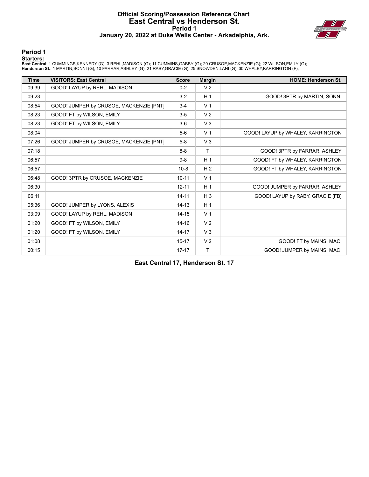#### **Official Scoring/Possession Reference Chart East Central vs Henderson St. Period 1 January 20, 2022 at Duke Wells Center - Arkadelphia, Ark.**



#### **Period 1**

#### **Starters:**

**East Centra**l: 1 CUMMINGS,KENNEDY (G); 3 REHL,MADISON (G); 11 CUMMINS,GABBY (G); 20 CRUSOE,MACKENZIE (G); 22 WILSON,EMILY (G);<br>**Henderson St.**: 1 MARTIN,SONNI (G); 10 FARRAR,ASHLEY (G); 21 RABY,GRACIE (G); 25 SNOWDEN,LANI

| <b>Time</b> | <b>VISITORS: East Central</b>           | <b>Score</b> | <b>Margin</b>  | <b>HOME: Henderson St.</b>        |
|-------------|-----------------------------------------|--------------|----------------|-----------------------------------|
| 09:39       | GOOD! LAYUP by REHL, MADISON            | $0 - 2$      | V <sub>2</sub> |                                   |
| 09:23       |                                         | $3-2$        | H <sub>1</sub> | GOOD! 3PTR by MARTIN, SONNI       |
| 08:54       | GOOD! JUMPER by CRUSOE, MACKENZIE [PNT] | $3 - 4$      | V <sub>1</sub> |                                   |
| 08:23       | GOOD! FT by WILSON, EMILY               | $3-5$        | V <sub>2</sub> |                                   |
| 08:23       | GOOD! FT by WILSON, EMILY               | $3-6$        | V <sub>3</sub> |                                   |
| 08:04       |                                         | $5-6$        | V <sub>1</sub> | GOOD! LAYUP by WHALEY, KARRINGTON |
| 07:26       | GOOD! JUMPER by CRUSOE, MACKENZIE [PNT] | $5-8$        | $V_3$          |                                   |
| 07:18       |                                         | $8 - 8$      | Τ              | GOOD! 3PTR by FARRAR, ASHLEY      |
| 06:57       |                                         | $9 - 8$      | H <sub>1</sub> | GOOD! FT by WHALEY, KARRINGTON    |
| 06:57       |                                         | $10 - 8$     | H <sub>2</sub> | GOOD! FT by WHALEY, KARRINGTON    |
| 06:48       | GOOD! 3PTR by CRUSOE, MACKENZIE         | $10 - 11$    | V <sub>1</sub> |                                   |
| 06:30       |                                         | $12 - 11$    | H <sub>1</sub> | GOOD! JUMPER by FARRAR, ASHLEY    |
| 06:11       |                                         | $14 - 11$    | $H_3$          | GOOD! LAYUP by RABY, GRACIE [FB]  |
| 05:36       | GOOD! JUMPER by LYONS, ALEXIS           | $14 - 13$    | H <sub>1</sub> |                                   |
| 03:09       | GOOD! LAYUP by REHL, MADISON            | $14 - 15$    | V <sub>1</sub> |                                   |
| 01:20       | GOOD! FT by WILSON, EMILY               | $14 - 16$    | V <sub>2</sub> |                                   |
| 01:20       | GOOD! FT by WILSON, EMILY               | $14 - 17$    | $V_3$          |                                   |
| 01:08       |                                         | $15 - 17$    | V <sub>2</sub> | GOOD! FT by MAINS, MACI           |
| 00:15       |                                         | $17 - 17$    | $\mathsf{T}$   | GOOD! JUMPER by MAINS, MACI       |

**East Central 17, Henderson St. 17**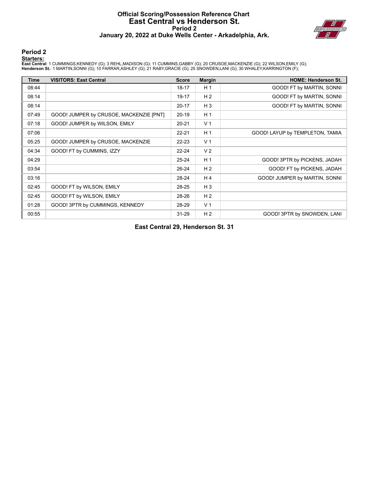#### **Official Scoring/Possession Reference Chart East Central vs Henderson St. Period 2 January 20, 2022 at Duke Wells Center - Arkadelphia, Ark.**



#### **Period 2**

#### **Starters:**

**East Centra**l: 1 CUMMINGS,KENNEDY (G); 3 REHL,MADISON (G); 11 CUMMINS,GABBY (G); 20 CRUSOE,MACKENZIE (G); 22 WILSON,EMILY (G);<br>**Henderson St.**: 1 MARTIN,SONNI (G); 10 FARRAR,ASHLEY (G); 21 RABY,GRACIE (G); 25 SNOWDEN,LANI

| Time  | <b>VISITORS: East Central</b>           | <b>Score</b> | <b>Margin</b>  | <b>HOME: Henderson St.</b>      |
|-------|-----------------------------------------|--------------|----------------|---------------------------------|
| 08:44 |                                         | $18 - 17$    | H <sub>1</sub> | GOOD! FT by MARTIN, SONNI       |
| 08:14 |                                         | 19-17        | H <sub>2</sub> | GOOD! FT by MARTIN, SONNI       |
| 08:14 |                                         | $20 - 17$    | $H_3$          | GOOD! FT by MARTIN, SONNI       |
| 07:49 | GOOD! JUMPER by CRUSOE, MACKENZIE [PNT] | $20-19$      | H <sub>1</sub> |                                 |
| 07:18 | GOOD! JUMPER by WILSON, EMILY           | $20 - 21$    | V <sub>1</sub> |                                 |
| 07:06 |                                         | $22 - 21$    | H <sub>1</sub> | GOOD! LAYUP by TEMPLETON, TAMIA |
| 05:25 | GOOD! JUMPER by CRUSOE, MACKENZIE       | $22 - 23$    | V <sub>1</sub> |                                 |
| 04:34 | GOOD! FT by CUMMINS, IZZY               | $22 - 24$    | V <sub>2</sub> |                                 |
| 04:29 |                                         | $25 - 24$    | H <sub>1</sub> | GOOD! 3PTR by PICKENS, JADAH    |
| 03:54 |                                         | $26 - 24$    | H <sub>2</sub> | GOOD! FT by PICKENS, JADAH      |
| 03:16 |                                         | 28-24        | H <sub>4</sub> | GOOD! JUMPER by MARTIN, SONNI   |
| 02:45 | GOOD! FT by WILSON, EMILY               | 28-25        | $H_3$          |                                 |
| 02:45 | GOOD! FT by WILSON, EMILY               | 28-26        | H <sub>2</sub> |                                 |
| 01:28 | GOOD! 3PTR by CUMMINGS, KENNEDY         | 28-29        | V <sub>1</sub> |                                 |
| 00:55 |                                         | $31 - 29$    | H <sub>2</sub> | GOOD! 3PTR by SNOWDEN, LANI     |

**East Central 29, Henderson St. 31**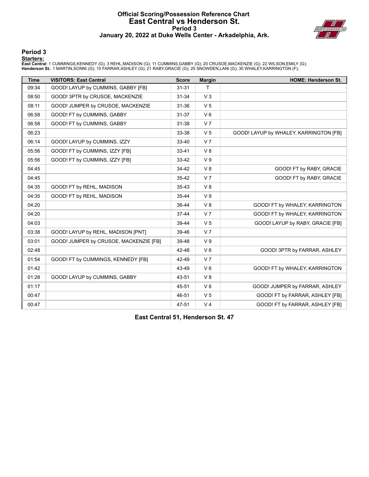#### **Official Scoring/Possession Reference Chart East Central vs Henderson St. Period 3 January 20, 2022 at Duke Wells Center - Arkadelphia, Ark.**



#### **Period 3**

#### **Starters:**

**East Centra**l: 1 CUMMINGS,KENNEDY (G); 3 REHL,MADISON (G); 11 CUMMINS,GABBY (G); 20 CRUSOE,MACKENZIE (G); 22 WILSON,EMILY (G);<br>**Henderson St.**: 1 MARTIN,SONNI (G); 10 FARRAR,ASHLEY (G); 21 RABY,GRACIE (G); 25 SNOWDEN,LANI

| <b>Time</b> | <b>VISITORS: East Central</b>          | <b>Score</b> | <b>Margin</b>  | <b>HOME: Henderson St.</b>             |
|-------------|----------------------------------------|--------------|----------------|----------------------------------------|
| 09:34       | GOOD! LAYUP by CUMMINS, GABBY [FB]     | $31 - 31$    | Τ              |                                        |
| 08:50       | GOOD! 3PTR by CRUSOE, MACKENZIE        | $31 - 34$    | V <sub>3</sub> |                                        |
| 08:11       | GOOD! JUMPER by CRUSOE, MACKENZIE      | $31 - 36$    | V <sub>5</sub> |                                        |
| 06:58       | GOOD! FT by CUMMINS, GABBY             | 31-37        | $V_6$          |                                        |
| 06:58       | GOOD! FT by CUMMINS, GABBY             | 31-38        | V <sub>7</sub> |                                        |
| 06:23       |                                        | 33-38        | V <sub>5</sub> | GOOD! LAYUP by WHALEY, KARRINGTON [FB] |
| 06:14       | GOOD! LAYUP by CUMMINS, IZZY           | $33 - 40$    | V <sub>7</sub> |                                        |
| 05:56       | GOOD! FT by CUMMINS, IZZY [FB]         | $33 - 41$    | V8             |                                        |
| 05:56       | GOOD! FT by CUMMINS, IZZY [FB]         | $33 - 42$    | V <sub>9</sub> |                                        |
| 04:45       |                                        | $34 - 42$    | V8             | GOOD! FT by RABY, GRACIE               |
| 04:45       |                                        | $35 - 42$    | V <sub>7</sub> | GOOD! FT by RABY, GRACIE               |
| 04:35       | GOOD! FT by REHL, MADISON              | $35 - 43$    | V8             |                                        |
| 04:35       | GOOD! FT by REHL, MADISON              | 35-44        | V <sub>9</sub> |                                        |
| 04:20       |                                        | 36-44        | V8             | GOOD! FT by WHALEY, KARRINGTON         |
| 04:20       |                                        | $37 - 44$    | V <sub>7</sub> | GOOD! FT by WHALEY, KARRINGTON         |
| 04:03       |                                        | 39-44        | V <sub>5</sub> | GOOD! LAYUP by RABY, GRACIE [FB]       |
| 03:38       | GOOD! LAYUP by REHL, MADISON [PNT]     | 39-46        | V <sub>7</sub> |                                        |
| 03:01       | GOOD! JUMPER by CRUSOE, MACKENZIE [FB] | 39-48        | V <sub>9</sub> |                                        |
| 02:48       |                                        | 42-48        | $V_6$          | GOOD! 3PTR by FARRAR, ASHLEY           |
| 01:54       | GOOD! FT by CUMMINGS, KENNEDY [FB]     | 42-49        | V <sub>7</sub> |                                        |
| 01:42       |                                        | 43-49        | $V_6$          | GOOD! FT by WHALEY, KARRINGTON         |
| 01:28       | GOOD! LAYUP by CUMMINS, GABBY          | 43-51        | V8             |                                        |
| 01:17       |                                        | 45-51        | $V_6$          | GOOD! JUMPER by FARRAR, ASHLEY         |
| 00:47       |                                        | 46-51        | V <sub>5</sub> | GOOD! FT by FARRAR, ASHLEY [FB]        |
| 00:47       |                                        | 47-51        | V <sub>4</sub> | GOOD! FT by FARRAR, ASHLEY [FB]        |

**East Central 51, Henderson St. 47**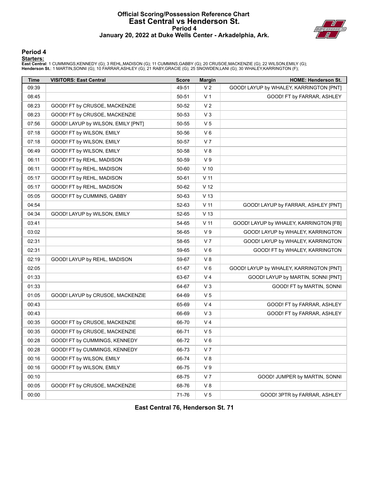#### **Official Scoring/Possession Reference Chart East Central vs Henderson St. Period 4 January 20, 2022 at Duke Wells Center - Arkadelphia, Ark.**



#### **Period 4**

#### **Starters:**

**East Centra**l: 1 CUMMINGS,KENNEDY (G); 3 REHL,MADISON (G); 11 CUMMINS,GABBY (G); 20 CRUSOE,MACKENZIE (G); 22 WILSON,EMILY (G);<br>**Henderson St.**: 1 MARTIN,SONNI (G); 10 FARRAR,ASHLEY (G); 21 RABY,GRACIE (G); 25 SNOWDEN,LANI

| <b>Time</b> | <b>VISITORS: East Central</b>      | <b>Score</b> | <b>Margin</b>   | <b>HOME: Henderson St.</b>              |
|-------------|------------------------------------|--------------|-----------------|-----------------------------------------|
| 09:39       |                                    | 49-51        | V <sub>2</sub>  | GOOD! LAYUP by WHALEY, KARRINGTON [PNT] |
| 08:45       |                                    | 50-51        | V <sub>1</sub>  | GOOD! FT by FARRAR, ASHLEY              |
| 08:23       | GOOD! FT by CRUSOE, MACKENZIE      | 50-52        | V <sub>2</sub>  |                                         |
| 08:23       | GOOD! FT by CRUSOE, MACKENZIE      | 50-53        | $V_3$           |                                         |
| 07:56       | GOOD! LAYUP by WILSON, EMILY [PNT] | 50-55        | V <sub>5</sub>  |                                         |
| 07:18       | GOOD! FT by WILSON, EMILY          | 50-56        | $V_6$           |                                         |
| 07:18       | GOOD! FT by WILSON, EMILY          | 50-57        | V <sub>7</sub>  |                                         |
| 06:49       | GOOD! FT by WILSON, EMILY          | 50-58        | V8              |                                         |
| 06:11       | GOOD! FT by REHL, MADISON          | 50-59        | V <sub>9</sub>  |                                         |
| 06:11       | GOOD! FT by REHL, MADISON          | 50-60        | $V$ 10          |                                         |
| 05:17       | GOOD! FT by REHL, MADISON          | 50-61        | $V$ 11          |                                         |
| 05:17       | GOOD! FT by REHL, MADISON          | 50-62        | V <sub>12</sub> |                                         |
| 05:05       | GOOD! FT by CUMMINS, GABBY         | 50-63        | V <sub>13</sub> |                                         |
| 04:54       |                                    | 52-63        | V <sub>11</sub> | GOOD! LAYUP by FARRAR, ASHLEY [PNT]     |
| 04:34       | GOOD! LAYUP by WILSON, EMILY       | 52-65        | V <sub>13</sub> |                                         |
| 03:41       |                                    | 54-65        | V <sub>11</sub> | GOOD! LAYUP by WHALEY, KARRINGTON [FB]  |
| 03:02       |                                    | 56-65        | V <sub>9</sub>  | GOOD! LAYUP by WHALEY, KARRINGTON       |
| 02:31       |                                    | 58-65        | V <sub>7</sub>  | GOOD! LAYUP by WHALEY, KARRINGTON       |
| 02:31       |                                    | 59-65        | $V_6$           | GOOD! FT by WHALEY, KARRINGTON          |
| 02:19       | GOOD! LAYUP by REHL, MADISON       | 59-67        | V8              |                                         |
| 02:05       |                                    | 61-67        | $V_6$           | GOOD! LAYUP by WHALEY, KARRINGTON [PNT] |
| 01:33       |                                    | 63-67        | V <sub>4</sub>  | GOOD! LAYUP by MARTIN, SONNI [PNT]      |
| 01:33       |                                    | 64-67        | $V_3$           | GOOD! FT by MARTIN, SONNI               |
| 01:05       | GOOD! LAYUP by CRUSOE, MACKENZIE   | 64-69        | V <sub>5</sub>  |                                         |
| 00:43       |                                    | 65-69        | V <sub>4</sub>  | GOOD! FT by FARRAR, ASHLEY              |
| 00:43       |                                    | 66-69        | V <sub>3</sub>  | GOOD! FT by FARRAR, ASHLEY              |
| 00:35       | GOOD! FT by CRUSOE, MACKENZIE      | 66-70        | V <sub>4</sub>  |                                         |
| 00:35       | GOOD! FT by CRUSOE, MACKENZIE      | 66-71        | V <sub>5</sub>  |                                         |
| 00:28       | GOOD! FT by CUMMINGS, KENNEDY      | 66-72        | $V_6$           |                                         |
| 00:28       | GOOD! FT by CUMMINGS, KENNEDY      | 66-73        | V <sub>7</sub>  |                                         |
| 00:16       | GOOD! FT by WILSON, EMILY          | 66-74        | $\vee$ 8        |                                         |
| 00:16       | GOOD! FT by WILSON, EMILY          | 66-75        | V <sub>9</sub>  |                                         |
| 00:10       |                                    | 68-75        | V <sub>7</sub>  | GOOD! JUMPER by MARTIN, SONNI           |
| 00:05       | GOOD! FT by CRUSOE, MACKENZIE      | 68-76        | V8              |                                         |
| 00:00       |                                    | 71-76        | V <sub>5</sub>  | GOOD! 3PTR by FARRAR, ASHLEY            |

**East Central 76, Henderson St. 71**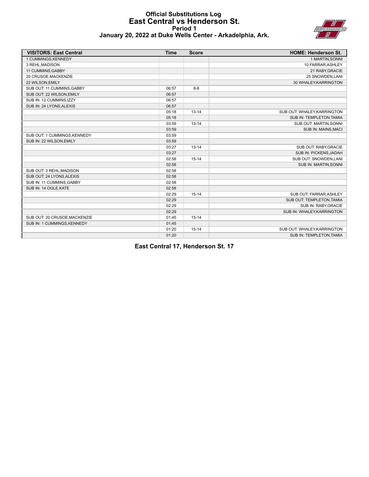#### **Official Substitutions Log East Central vs Henderson St. Period 1 January 20, 2022 at Duke Wells Center - Arkadelphia, Ark.**



| <b>VISITORS: East Central</b> | <b>Time</b> | <b>Score</b> | <b>HOME: Henderson St.</b>   |
|-------------------------------|-------------|--------------|------------------------------|
| 1 CUMMINGS, KENNEDY           |             |              | 1 MARTIN, SONNI              |
| 3 REHL, MADISON               |             |              | 10 FARRAR, ASHLEY            |
| 11 CUMMINS, GABBY             |             |              | 21 RABY, GRACIE              |
| 20 CRUSOE, MACKENZIE          |             |              | 25 SNOWDEN, LANI             |
| 22 WILSON, EMILY              |             |              | 30 WHALEY, KARRINGTON        |
| SUB OUT: 11 CUMMINS, GABBY    | 06:57       | $8 - 8$      |                              |
| SUB OUT: 22 WILSON, EMILY     | 06:57       |              |                              |
| SUB IN: 12 CUMMINS, IZZY      | 06:57       |              |                              |
| SUB IN: 24 LYONS, ALEXIS      | 06:57       |              |                              |
|                               | 05:18       | $13 - 14$    | SUB OUT: WHALEY, KARRINGTON  |
|                               | 05:18       |              | SUB IN: TEMPLETON, TAMIA     |
|                               | 03:59       | $13 - 14$    | SUB OUT: MARTIN, SONNI       |
|                               | 03:59       |              | SUB IN: MAINS, MACI          |
| SUB OUT: 1 CUMMINGS, KENNEDY  | 03:59       |              |                              |
| SUB IN: 22 WILSON, EMILY      | 03:59       |              |                              |
|                               | 03:27       | $13 - 14$    | SUB OUT: RABY, GRACIE        |
|                               | 03:27       |              | SUB IN: PICKENS, JADAH       |
|                               | 02:58       | $15 - 14$    | SUB OUT: SNOWDEN,LANI        |
|                               | 02:58       |              | <b>SUB IN: MARTIN, SONNI</b> |
| SUB OUT: 3 REHL, MADISON      | 02:58       |              |                              |
| SUB OUT: 24 LYONS, ALEXIS     | 02:58       |              |                              |
| SUB IN: 11 CUMMINS, GABBY     | 02:58       |              |                              |
| SUB IN: 14 OGLE, KATE         | 02:58       |              |                              |
|                               | 02:29       | $15 - 14$    | SUB OUT: FARRAR, ASHLEY      |
|                               | 02:29       |              | SUB OUT: TEMPLETON, TAMIA    |
|                               | 02:29       |              | SUB IN: RABY, GRACIE         |
|                               | 02:29       |              | SUB IN: WHALEY, KARRINGTON   |
| SUB OUT: 20 CRUSOE, MACKENZIE | 01:45       | $15 - 14$    |                              |
| SUB IN: 1 CUMMINGS, KENNEDY   | 01:45       |              |                              |
|                               | 01:20       | $15 - 14$    | SUB OUT: WHALEY, KARRINGTON  |
|                               | 01:20       |              | SUB IN: TEMPLETON, TAMIA     |

**East Central 17, Henderson St. 17**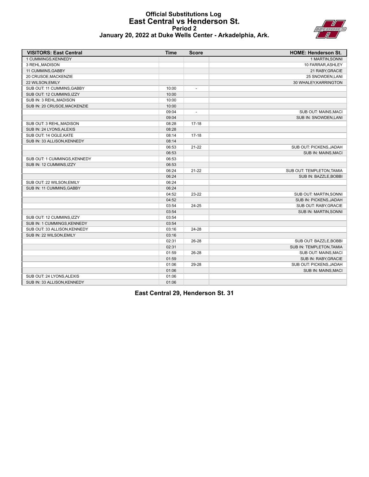#### **Official Substitutions Log East Central vs Henderson St. Period 2 January 20, 2022 at Duke Wells Center - Arkadelphia, Ark.**



| <b>VISITORS: East Central</b> | <b>Time</b> | <b>Score</b>             | <b>HOME: Henderson St.</b>   |
|-------------------------------|-------------|--------------------------|------------------------------|
| 1 CUMMINGS, KENNEDY           |             |                          | 1 MARTIN, SONNI              |
| 3 REHL, MADISON               |             |                          | 10 FARRAR, ASHLEY            |
| 11 CUMMINS, GABBY             |             |                          | 21 RABY, GRACIE              |
| 20 CRUSOE, MACKENZIE          |             |                          | 25 SNOWDEN, LANI             |
| 22 WILSON, EMILY              |             |                          | 30 WHALEY, KARRINGTON        |
| SUB OUT: 11 CUMMINS, GABBY    | 10:00       | $\blacksquare$           |                              |
| SUB OUT: 12 CUMMINS, IZZY     | 10:00       |                          |                              |
| SUB IN: 3 REHL, MADISON       | 10:00       |                          |                              |
| SUB IN: 20 CRUSOE, MACKENZIE  | 10:00       |                          |                              |
|                               | 09:04       | $\overline{\phantom{a}}$ | SUB OUT: MAINS, MACI         |
|                               | 09:04       |                          | <b>SUB IN: SNOWDEN.LANI</b>  |
| SUB OUT: 3 REHL, MADISON      | 08:28       | $17 - 18$                |                              |
| SUB IN: 24 LYONS, ALEXIS      | 08:28       |                          |                              |
| SUB OUT: 14 OGLE, KATE        | 08:14       | $17 - 18$                |                              |
| SUB IN: 33 ALLISON, KENNEDY   | 08:14       |                          |                              |
|                               | 06:53       | $21 - 22$                | SUB OUT: PICKENS, JADAH      |
|                               | 06:53       |                          | SUB IN: MAINS, MACI          |
| SUB OUT: 1 CUMMINGS, KENNEDY  | 06:53       |                          |                              |
| SUB IN: 12 CUMMINS, IZZY      | 06:53       |                          |                              |
|                               | 06:24       | 21-22                    | SUB OUT: TEMPLETON, TAMIA    |
|                               | 06:24       |                          | SUB IN: BAZZLE, BOBBI        |
| SUB OUT: 22 WILSON, EMILY     | 06:24       |                          |                              |
| SUB IN: 11 CUMMINS, GABBY     | 06:24       |                          |                              |
|                               | 04:52       | 23-22                    | SUB OUT: MARTIN, SONNI       |
|                               | 04:52       |                          | SUB IN: PICKENS, JADAH       |
|                               | 03:54       | 24-25                    | SUB OUT: RABY, GRACIE        |
|                               | 03:54       |                          | <b>SUB IN: MARTIN, SONNI</b> |
| SUB OUT: 12 CUMMINS, IZZY     | 03:54       |                          |                              |
| SUB IN: 1 CUMMINGS, KENNEDY   | 03:54       |                          |                              |
| SUB OUT: 33 ALLISON, KENNEDY  | 03:16       | 24-28                    |                              |
| SUB IN: 22 WILSON, EMILY      | 03:16       |                          |                              |
|                               | 02:31       | $26 - 28$                | SUB OUT: BAZZLE.BOBBI        |
|                               | 02:31       |                          | SUB IN: TEMPLETON, TAMIA     |
|                               | 01:59       | 26-28                    | SUB OUT: MAINS, MACI         |
|                               | 01:59       |                          | SUB IN: RABY, GRACIE         |
|                               | 01:06       | 29-28                    | SUB OUT: PICKENS, JADAH      |
|                               | 01:06       |                          | SUB IN: MAINS, MACI          |
| SUB OUT: 24 LYONS, ALEXIS     | 01:06       |                          |                              |
| SUB IN: 33 ALLISON.KENNEDY    | 01:06       |                          |                              |

**East Central 29, Henderson St. 31**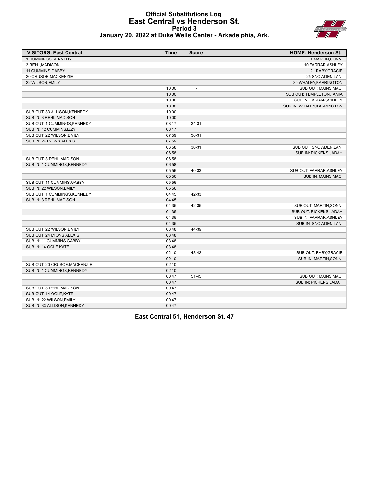#### **Official Substitutions Log East Central vs Henderson St. Period 3 January 20, 2022 at Duke Wells Center - Arkadelphia, Ark.**



| <b>VISITORS: East Central</b> | <b>Time</b> | <b>Score</b>             | <b>HOME: Henderson St.</b> |
|-------------------------------|-------------|--------------------------|----------------------------|
| 1 CUMMINGS, KENNEDY           |             |                          | 1 MARTIN, SONNI            |
| 3 REHL, MADISON               |             |                          | 10 FARRAR, ASHLEY          |
| 11 CUMMINS, GABBY             |             |                          | 21 RABY, GRACIE            |
| 20 CRUSOE, MACKENZIE          |             |                          | 25 SNOWDEN, LANI           |
| 22 WILSON, EMILY              |             |                          | 30 WHALEY, KARRINGTON      |
|                               | 10:00       | $\overline{\phantom{a}}$ | SUB OUT: MAINS, MACI       |
|                               | 10:00       |                          | SUB OUT: TEMPLETON, TAMIA  |
|                               | 10:00       |                          | SUB IN: FARRAR, ASHLEY     |
|                               | 10:00       |                          | SUB IN: WHALEY, KARRINGTON |
| SUB OUT: 33 ALLISON, KENNEDY  | 10:00       |                          |                            |
| SUB IN: 3 REHL.MADISON        | 10:00       |                          |                            |
| SUB OUT: 1 CUMMINGS, KENNEDY  | 08:17       | 34-31                    |                            |
| SUB IN: 12 CUMMINS, IZZY      | 08:17       |                          |                            |
| SUB OUT: 22 WILSON, EMILY     | 07:59       | 36-31                    |                            |
| SUB IN: 24 LYONS, ALEXIS      | 07:59       |                          |                            |
|                               | 06:58       | 36-31                    | SUB OUT: SNOWDEN,LANI      |
|                               | 06:58       |                          | SUB IN: PICKENS, JADAH     |
| SUB OUT: 3 REHL, MADISON      | 06:58       |                          |                            |
| SUB IN: 1 CUMMINGS, KENNEDY   | 06:58       |                          |                            |
|                               | 05:56       | 40-33                    | SUB OUT: FARRAR, ASHLEY    |
|                               | 05:56       |                          | SUB IN: MAINS, MACI        |
| SUB OUT: 11 CUMMINS, GABBY    | 05:56       |                          |                            |
| SUB IN: 22 WILSON, EMILY      | 05:56       |                          |                            |
| SUB OUT: 1 CUMMINGS, KENNEDY  | 04:45       | 42-33                    |                            |
| SUB IN: 3 REHL, MADISON       | 04:45       |                          |                            |
|                               | 04:35       | 42-35                    | SUB OUT: MARTIN, SONNI     |
|                               | 04:35       |                          | SUB OUT: PICKENS, JADAH    |
|                               | 04:35       |                          | SUB IN: FARRAR, ASHLEY     |
|                               | 04:35       |                          | SUB IN: SNOWDEN,LANI       |
| SUB OUT: 22 WILSON, EMILY     | 03:48       | 44-39                    |                            |
| SUB OUT: 24 LYONS, ALEXIS     | 03:48       |                          |                            |
| SUB IN: 11 CUMMINS, GABBY     | 03:48       |                          |                            |
| SUB IN: 14 OGLE, KATE         | 03:48       |                          |                            |
|                               | 02:10       | 48-42                    | SUB OUT: RABY, GRACIE      |
|                               | 02:10       |                          | SUB IN: MARTIN, SONNI      |
| SUB OUT: 20 CRUSOE, MACKENZIE | 02:10       |                          |                            |
| SUB IN: 1 CUMMINGS, KENNEDY   | 02:10       |                          |                            |
|                               | 00:47       | $51 - 45$                | SUB OUT: MAINS, MACI       |
|                               | 00:47       |                          | SUB IN: PICKENS, JADAH     |
| SUB OUT: 3 REHL, MADISON      | 00:47       |                          |                            |
| SUB OUT: 14 OGLE, KATE        | 00:47       |                          |                            |
| SUB IN: 22 WILSON, EMILY      | 00:47       |                          |                            |
| SUB IN: 33 ALLISON, KENNEDY   | 00:47       |                          |                            |

**East Central 51, Henderson St. 47**